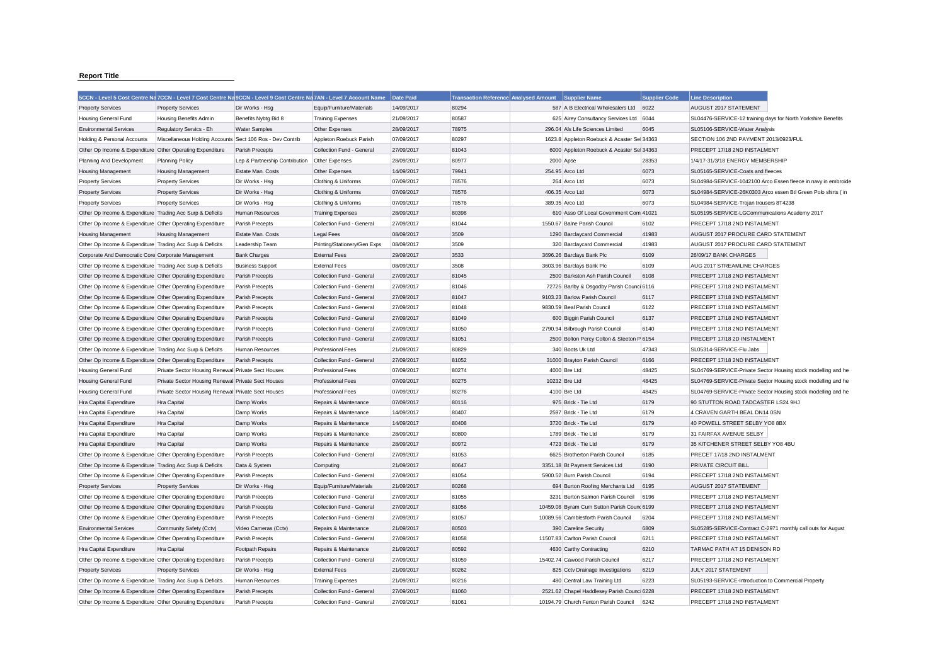## **Report Title**

|                                                           | 5CCN - Level 5 Cost Centre Na 7CCN - Level 7 Cost Centre Na 9CCN - Level 9 Cost Centre Na 7AN - Level 7 Account Name |                                |                              | Date Paid  | Transaction Reference Analysed Amount Supplier Name |                                             | <b>Supplier Code</b> | <b>Line Description</b>                                       |                                                               |
|-----------------------------------------------------------|----------------------------------------------------------------------------------------------------------------------|--------------------------------|------------------------------|------------|-----------------------------------------------------|---------------------------------------------|----------------------|---------------------------------------------------------------|---------------------------------------------------------------|
| <b>Property Services</b>                                  | <b>Property Services</b>                                                                                             | Dir Works - Hsa                | Equip/Furniture/Materials    | 14/09/2017 | 80294                                               | 587 A B Electrical Wholesalers Ltd          | 6022                 | AUGUST 2017 STATEMENT                                         |                                                               |
| Housing General Fund                                      | <b>Housing Benefits Admin</b>                                                                                        | Benefits Nybtg Bid 8           | <b>Training Expenses</b>     | 21/09/2017 | 80587                                               | 625 Airey Consultancy Services Ltd          | 6044                 | SL04476-SERVICE-12 training days for North Yorkshire Benefits |                                                               |
| <b>Environmental Services</b>                             | Regulatory Servics - Eh                                                                                              | <b>Water Samples</b>           | Other Expenses               | 28/09/2017 | 78975                                               | 296.04 Als Life Sciences Limited            | 6045                 | SL05106-SERVICE-Water Analysis                                |                                                               |
| Holding & Personal Accounts                               | Miscellaneous Holding Accounts Sect 106 Ros - Dev Contrib                                                            |                                | Appleton Roebuck Parish      | 07/09/2017 | 80297                                               | 1623.8 Appleton Roebuck & Acaster Sel 34363 |                      | SECTION 106 2ND PAYMENT 2013/0923/FUL                         |                                                               |
| Other Op Income & Expenditure Other Operating Expenditure |                                                                                                                      | Parish Precepts                | Collection Fund - General    | 27/09/2017 | 81043                                               | 6000 Appleton Roebuck & Acaster Sel 34363   |                      | PRECEPT 17/18 2ND INSTALMENT                                  |                                                               |
| Planning And Development                                  | <b>Planning Policy</b>                                                                                               | Lep & Partnership Contribution | Other Expenses               | 28/09/2017 | 80977                                               | 2000 Apse                                   | 28353                | 1/4/17-31/3/18 ENERGY MEMBERSHIP                              |                                                               |
| <b>Housing Management</b>                                 | <b>Housing Management</b>                                                                                            | Estate Man, Costs              | Other Expenses               | 14/09/2017 | 79941                                               | 254.95 Arco Ltd                             | 6073                 | SL05165-SERVICE-Coats and fleeces                             |                                                               |
| <b>Property Services</b>                                  | <b>Property Services</b>                                                                                             | Dir Works - Hsg                | Clothing & Uniforms          | 07/09/2017 | 78576                                               | 264 Arco Ltd                                | 6073                 |                                                               | SL04984-SERVICE-1042100 Arco Essen fleece in navy in embroide |
| <b>Property Services</b>                                  | <b>Property Services</b>                                                                                             | Dir Works - Hsg                | Clothing & Uniforms          | 07/09/2017 | 78576                                               | 406.35 Arco Ltd                             | 6073                 | SL04984-SERVICE-26K0303 Arco essen Btl Green Polo shirts ( in |                                                               |
| <b>Property Services</b>                                  | <b>Property Services</b>                                                                                             | Dir Works - Hsg                | Clothing & Uniforms          | 07/09/2017 | 78576                                               | 389.35 Arco Ltd                             | 6073                 | SL04984-SERVICE-Trojan trousers 8T4238                        |                                                               |
| Other Op Income & Expenditure Trading Acc Surp & Deficits |                                                                                                                      | Human Resources                | <b>Training Expenses</b>     | 28/09/2017 | 80398                                               | 610 Asso Of Local Government Com 41021      |                      | SL05195-SERVICE-LGCommunications Academy 2017                 |                                                               |
| Other Op Income & Expenditure Other Operating Expenditure |                                                                                                                      | Parish Precepts                | Collection Fund - General    | 27/09/2017 | 81044                                               | 1550.67 Balne Parish Council                | 6102                 | PRECEPT 17/18 2ND INSTALMENT                                  |                                                               |
| <b>Housing Management</b>                                 | <b>Housing Management</b>                                                                                            | Estate Man. Costs              | <b>Legal Fees</b>            | 08/09/2017 | 3509                                                | 1290 Barclaycard Commercial                 | 41983                | AUGUST 2017 PROCURE CARD STATEMENT                            |                                                               |
| Other Op Income & Expenditure Trading Acc Surp & Deficits |                                                                                                                      | Leadership Team                | Printing/Stationery/Gen Exps | 08/09/2017 | 3509                                                | 320 Barclaycard Commercial                  | 41983                | AUGUST 2017 PROCURE CARD STATEMENT                            |                                                               |
| Corporate And Democratic Core Corporate Management        |                                                                                                                      | <b>Bank Charges</b>            | <b>External Fees</b>         | 29/09/2017 | 3533                                                | 3696.26 Barclays Bank Plc                   | 6109                 | 26/09/17 BANK CHARGES                                         |                                                               |
| Other Op Income & Expenditure Trading Acc Surp & Deficits |                                                                                                                      | <b>Business Support</b>        | <b>External Fees</b>         | 08/09/2017 | 3508                                                | 3603.96 Barclays Bank Plc                   | 6109                 | AUG 2017 STREAMLINE CHARGES                                   |                                                               |
| Other Op Income & Expenditure Other Operating Expenditure |                                                                                                                      | Parish Precepts                | Collection Fund - General    | 27/09/2017 | 81045                                               | 2500 Barkston Ash Parish Council            | 6108                 | PRECEPT 17/18 2ND INSTALMENT                                  |                                                               |
| Other Op Income & Expenditure Other Operating Expenditure |                                                                                                                      | Parish Precepts                | Collection Fund - General    | 27/09/2017 | 81046                                               | 72725 Barlby & Osgodby Parish Counci 6116   |                      | PRECEPT 17/18 2ND INSTALMENT                                  |                                                               |
| Other Op Income & Expenditure Other Operating Expenditure |                                                                                                                      | Parish Precepts                | Collection Fund - General    | 27/09/2017 | 81047                                               | 9103.23 Barlow Parish Council               | 6117                 | PRECEPT 17/18 2ND INSTALMENT                                  |                                                               |
| Other Op Income & Expenditure Other Operating Expenditure |                                                                                                                      | Parish Precepts                | Collection Fund - General    | 27/09/2017 | 81048                                               | 9830.59 Beal Parish Council                 | 6122                 | PRECEPT 17/18 2ND INSTALMENT                                  |                                                               |
| Other Op Income & Expenditure Other Operating Expenditure |                                                                                                                      | Parish Precepts                | Collection Fund - General    | 27/09/2017 | 81049                                               | 600 Biggin Parish Council                   | 6137                 | PRECEPT 17/18 2ND INSTALMENT                                  |                                                               |
| Other Op Income & Expenditure Other Operating Expenditure |                                                                                                                      | Parish Precepts                | Collection Fund - General    | 27/09/2017 | 81050                                               | 2790.94 Bilbrough Parish Council            | 6140                 | PRECEPT 17/18 2ND INSTALMENT                                  |                                                               |
| Other Op Income & Expenditure Other Operating Expenditure |                                                                                                                      | Parish Precepts                | Collection Fund - General    | 27/09/2017 | 81051                                               | 2500 Bolton Percy Colton & Steeton P 6154   |                      | PRECEPT 17/18 2D INSTALMENT                                   |                                                               |
| Other Op Income & Expenditure Trading Acc Surp & Deficits |                                                                                                                      | Human Resources                | <b>Professional Fees</b>     | 21/09/2017 | 80829                                               | 340 Boots Uk Ltd                            | 47343                | SL05314-SERVICE-Flu Jabs                                      |                                                               |
| Other Op Income & Expenditure Other Operating Expenditure |                                                                                                                      | Parish Precepts                | Collection Fund - General    | 27/09/2017 | 81052                                               | 31000 Brayton Parish Council                | 6166                 | PRECEPT 17/18 2ND INSTALMENT                                  |                                                               |
| Housing General Fund                                      | Private Sector Housing Renewal Private Sect Houses                                                                   |                                | <b>Professional Fees</b>     | 07/09/2017 | 80274                                               | 4000 Bre Ltd                                | 48425                |                                                               | SL04769-SERVICE-Private Sector Housing stock modelling and he |
| Housing General Fund                                      | Private Sector Housing Renewal Private Sect Houses                                                                   |                                | <b>Professional Fees</b>     | 07/09/2017 | 80275                                               | 10232 Bre Ltd                               | 48425                |                                                               | SL04769-SERVICE-Private Sector Housing stock modelling and he |
| Housing General Fund                                      | Private Sector Housing Renewal Private Sect Houses                                                                   |                                | <b>Professional Fees</b>     | 07/09/2017 | 80276                                               | 4100 Bre Ltd                                | 48425                |                                                               | SL04769-SERVICE-Private Sector Housing stock modelling and he |
| Hra Capital Expenditure                                   | <b>Hra Capital</b>                                                                                                   | Damp Works                     | Repairs & Maintenance        | 07/09/2017 | 80116                                               | 975 Brick - Tie Ltd                         | 6179                 | 90 STUTTON ROAD TADCASTER LS24 9HJ                            |                                                               |
| Hra Capital Expenditure                                   | Hra Capital                                                                                                          | Damp Works                     | Repairs & Maintenance        | 14/09/2017 | 80407                                               | 2597 Brick - Tie Ltd                        | 6179                 | 4 CRAVEN GARTH BEAL DN14 0SN                                  |                                                               |
| Hra Capital Expenditure                                   | Hra Capital                                                                                                          | Damp Works                     | Repairs & Maintenance        | 14/09/2017 | 80408                                               | 3720 Brick - Tie Ltd                        | 6179                 | 40 POWELL STREET SELBY YO8 8BX                                |                                                               |
| Hra Capital Expenditure                                   | Hra Capital                                                                                                          | Damp Works                     | Repairs & Maintenance        | 28/09/2017 | 80800                                               | 1789 Brick - Tie Ltd                        | 6179                 | 31 FAIRFAX AVENUE SELBY                                       |                                                               |
| Hra Capital Expenditure                                   | Hra Capital                                                                                                          | Damp Works                     | Repairs & Maintenance        | 28/09/2017 | 80972                                               | 4723 Brick - Tie Ltd                        | 6179                 | 35 KITCHENER STREET SELBY YO8 4BU                             |                                                               |
| Other Op Income & Expenditure Other Operating Expenditure |                                                                                                                      | Parish Precepts                | Collection Fund - General    | 27/09/2017 | 81053                                               | 6625 Brotherton Parish Council              | 6185                 | PRECET 17/18 2ND INSTALMENT                                   |                                                               |
| Other Op Income & Expenditure Trading Acc Surp & Deficits |                                                                                                                      | Data & System                  | Computing                    | 21/09/2017 | 80647                                               | 3351.18 Bt Payment Services Ltd             | 6190                 | PRIVATE CIRCUIT BILL                                          |                                                               |
| Other Op Income & Expenditure Other Operating Expenditure |                                                                                                                      | Parish Precepts                | Collection Fund - General    | 27/09/2017 | 81054                                               | 5900.52 Burn Parish Council                 | 6194                 | PRECEPT 17/18 2ND INSTALMENT                                  |                                                               |
| <b>Property Services</b>                                  | <b>Property Services</b>                                                                                             | Dir Works - Hsg                | Equip/Furniture/Materials    | 21/09/2017 | 80268                                               | 694 Burton Roofing Merchants Ltd            | 6195                 | AUGUST 2017 STATEMENT                                         |                                                               |
| Other Op Income & Expenditure Other Operating Expenditure |                                                                                                                      | Parish Precepts                | Collection Fund - General    | 27/09/2017 | 81055                                               | 3231 Burton Salmon Parish Council           | 6196                 | PRECEPT 17/18 2ND INSTALMENT                                  |                                                               |
| Other Op Income & Expenditure Other Operating Expenditure |                                                                                                                      | Parish Precepts                | Collection Fund - General    | 27/09/2017 | 81056                                               | 10459.08 Byram Cum Sutton Parish Count 6199 |                      | PRECEPT 17/18 2ND INSTALMENT                                  |                                                               |
| Other Op Income & Expenditure Other Operating Expenditure |                                                                                                                      | Parish Precepts                | Collection Fund - General    | 27/09/2017 | 81057                                               | 10089.56 Camblesforth Parish Council        | 6204                 | PRECEPT 17/18 2ND INSTALMENT                                  |                                                               |
| <b>Environmental Services</b>                             | Community Safety (Cctv)                                                                                              | Video Cameras (Cctv)           | Repairs & Maintenance        | 21/09/2017 | 80503                                               | 390 Careline Security                       | 6809                 | SL05285-SERVICE-Contract C-2971 monthly call outs for August  |                                                               |
| Other Op Income & Expenditure Other Operating Expenditure |                                                                                                                      | Parish Precepts                | Collection Fund - General    | 27/09/2017 | 81058                                               | 11507.83 Carlton Parish Council             | 6211                 | PRECEPT 17/18 2ND INSTALMENT                                  |                                                               |
| Hra Capital Expenditure                                   | Hra Capital                                                                                                          | Footpath Repairs               | Repairs & Maintenance        | 21/09/2017 | 80592                                               | 4630 Carthy Contracting                     | 6210                 | TARMAC PATH AT 15 DENISON RD                                  |                                                               |
| Other Op Income & Expenditure Other Operating Expenditure |                                                                                                                      | Parish Precepts                | Collection Fund - General    | 27/09/2017 | 81059                                               | 15402.74 Cawood Parish Council              | 6217                 | PRECEPT 17/18 2ND INSTALMENT                                  |                                                               |
| <b>Property Services</b>                                  | <b>Property Services</b>                                                                                             | Dir Works - Hsg                | <b>External Fees</b>         | 21/09/2017 | 80262                                               | 825 Cctv Drainage Investigations            | 6219                 | JULY 2017 STATEMENT                                           |                                                               |
| Other Op Income & Expenditure Trading Acc Surp & Deficits |                                                                                                                      | Human Resources                | <b>Training Expenses</b>     | 21/09/2017 | 80216                                               | 480 Central Law Training Ltd                | 6223                 | SL05193-SERVICE-Introduction to Commercial Property           |                                                               |
| Other Op Income & Expenditure Other Operating Expenditure |                                                                                                                      | Parish Precepts                | Collection Fund - General    | 27/09/2017 | 81060                                               | 2521.62 Chapel Haddlesey Parish Counci 6228 |                      | PRECEPT 17/18 2ND INSTALMENT                                  |                                                               |
| Other Op Income & Expenditure Other Operating Expenditure |                                                                                                                      | Parish Precepts                | Collection Fund - General    | 27/09/2017 | 81061                                               | 10194.79 Church Fenton Parish Council       | 6242                 | PRECEPT 17/18 2ND INSTALMENT                                  |                                                               |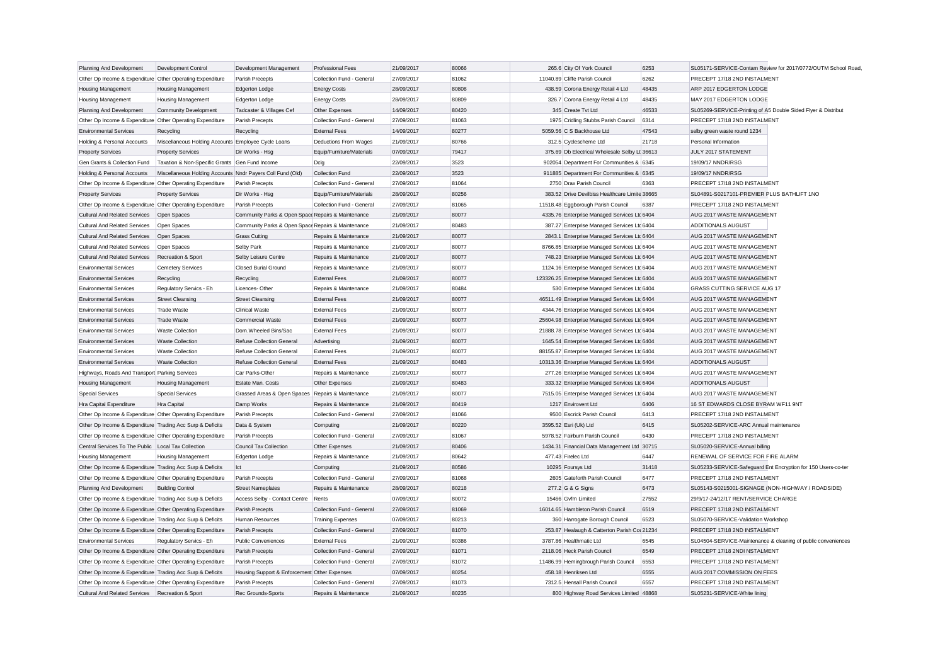| Planning And Development                                  | Development Control                                        | Development Management                             | <b>Professional Fees</b>  | 21/09/2017 | 80066 | 265.6 City Of York Council                     | 6253  | SL05171-SERVICE-Contam Review for 2017/0772/OUTM School Road  |
|-----------------------------------------------------------|------------------------------------------------------------|----------------------------------------------------|---------------------------|------------|-------|------------------------------------------------|-------|---------------------------------------------------------------|
| Other Op Income & Expenditure Other Operating Expenditure |                                                            | Parish Precepts                                    | Collection Fund - General | 27/09/2017 | 81062 | 11040.89 Cliffe Parish Council                 | 6262  | PRECEPT 17/18 2ND INSTALMENT                                  |
| <b>Housing Management</b>                                 | <b>Housing Management</b>                                  | <b>Edgerton Lodge</b>                              | <b>Energy Costs</b>       | 28/09/2017 | 80808 | 438.59 Corona Energy Retail 4 Ltd              | 48435 | ARP 2017 EDGERTON LODGE                                       |
| <b>Housing Management</b>                                 | <b>Housing Management</b>                                  | Edgerton Lodge                                     | <b>Energy Costs</b>       | 28/09/2017 | 80809 | 326.7 Corona Energy Retail 4 Ltd               | 48435 | MAY 2017 EDGERTON LODGE                                       |
| Planning And Development                                  | <b>Community Development</b>                               | Tadcaster & Villages Cef                           | Other Expenses            | 14/09/2017 | 80420 | 345 Create Tvt Ltd                             | 46533 | SL05269-SERVICE-Printing of A5 Double Sided Flyer & Distribut |
| Other Op Income & Expenditure Other Operating Expenditure |                                                            | Parish Precepts                                    | Collection Fund - General | 27/09/2017 | 81063 | 1975 Cridling Stubbs Parish Council            | 6314  | PRECEPT 17/18 2ND INSTALMENT                                  |
| <b>Environmental Services</b>                             | Recycling                                                  | Recycling                                          | <b>External Fees</b>      | 14/09/2017 | 80277 | 5059.56 C S Backhouse Ltd                      | 47543 | selby green waste round 1234                                  |
| Holding & Personal Accounts                               | Miscellaneous Holding Accounts Employee Cycle Loans        |                                                    | Deductions From Wages     | 21/09/2017 | 80766 | 312.5 Cyclescheme Ltd                          | 21718 | Personal Information                                          |
| <b>Property Services</b>                                  | <b>Property Services</b>                                   | Dir Works - Hsg                                    | Equip/Furniture/Materials | 07/09/2017 | 79417 | 375.69 Db Electrical Wholesale Selby Lt 36613  |       | JULY 2017 STATEMENT                                           |
| Gen Grants & Collection Fund                              | Taxation & Non-Specific Grants Gen Fund Income             |                                                    | Dcla                      | 22/09/2017 | 3523  | 902054 Department For Communities & 6345       |       | 19/09/17 NNDR/RSG                                             |
| Holding & Personal Accounts                               | Miscellaneous Holding Accounts Nndr Payers Coll Fund (Old) |                                                    | <b>Collection Fund</b>    | 22/09/2017 | 3523  | 911885 Department For Communities & 6345       |       | 19/09/17 NNDR/RSG                                             |
| Other Op Income & Expenditure Other Operating Expenditure |                                                            | Parish Precepts                                    | Collection Fund - General | 27/09/2017 | 81064 | 2750 Drax Parish Council                       | 6363  | PRECEPT 17/18 2ND INSTALMENT                                  |
| <b>Property Services</b>                                  | <b>Property Services</b>                                   | Dir Works - Hsg                                    | Equip/Furniture/Materials | 28/09/2017 | 80256 | 383.52 Drive Devilbiss Healthcare Limite 38665 |       | SL04891-S0217101-PREMIER PLUS BATHLIFT 1NO                    |
| Other Op Income & Expenditure Other Operating Expenditure |                                                            | Parish Precepts                                    | Collection Fund - General | 27/09/2017 | 81065 | 11518.48 Eggborough Parish Council             | 6387  | PRECEPT 17/18 2ND INSTALMENT                                  |
| <b>Cultural And Related Services</b>                      | Open Spaces                                                | Community Parks & Open Space Repairs & Maintenance |                           | 21/09/2017 | 80077 | 4335.76 Enterprise Managed Services Ltd 6404   |       | AUG 2017 WASTE MANAGEMENT                                     |
| <b>Cultural And Related Services</b>                      | Open Spaces                                                | Community Parks & Open Space Repairs & Maintenance |                           | 21/09/2017 | 80483 | 387.27 Enterprise Managed Services Ltc 6404    |       | ADDITIONALS AUGUST                                            |
| <b>Cultural And Related Services</b>                      | Open Spaces                                                | <b>Grass Cutting</b>                               | Repairs & Maintenance     | 21/09/2017 | 80077 | 2843.1 Enterprise Managed Services Ltd 6404    |       | AUG 2017 WASTE MANAGEMENT                                     |
| <b>Cultural And Related Services</b>                      | Open Spaces                                                | <b>Selby Park</b>                                  | Repairs & Maintenance     | 21/09/2017 | 80077 | 8766.85 Enterprise Managed Services Ltd 6404   |       | AUG 2017 WASTE MANAGEMENT                                     |
| <b>Cultural And Related Services</b>                      | Recreation & Sport                                         | Selby Leisure Centre                               | Repairs & Maintenance     | 21/09/2017 | 80077 | 748.23 Enterprise Managed Services Ltd 6404    |       | AUG 2017 WASTE MANAGEMENT                                     |
| <b>Environmental Services</b>                             | <b>Cemetery Services</b>                                   | <b>Closed Burial Ground</b>                        | Repairs & Maintenance     | 21/09/2017 | 80077 | 1124.16 Enterprise Managed Services Ltd 6404   |       | AUG 2017 WASTE MANAGEMENT                                     |
| <b>Environmental Services</b>                             | Recycling                                                  | Recycling                                          | <b>External Fees</b>      | 21/09/2017 | 80077 | 123326.25 Enterprise Managed Services Ltc 6404 |       | AUG 2017 WASTE MANAGEMENT                                     |
| <b>Environmental Services</b>                             | Regulatory Servics - Eh                                    | Licences-Other                                     | Repairs & Maintenance     | 21/09/2017 | 80484 | 530 Enterprise Managed Services Ltd 6404       |       | <b>GRASS CUTTING SERVICE AUG 17</b>                           |
| <b>Environmental Services</b>                             | <b>Street Cleansing</b>                                    | <b>Street Cleansing</b>                            | <b>External Fees</b>      | 21/09/2017 | 80077 | 46511.49 Enterprise Managed Services Ltc 6404  |       | AUG 2017 WASTE MANAGEMENT                                     |
| <b>Environmental Services</b>                             | Trade Waste                                                | <b>Clinical Waste</b>                              | <b>External Fees</b>      | 21/09/2017 | 80077 | 4344.76 Enterprise Managed Services Ltd 6404   |       | AUG 2017 WASTE MANAGEMENT                                     |
| <b>Environmental Services</b>                             | <b>Trade Waste</b>                                         | <b>Commercial Waste</b>                            | <b>External Fees</b>      | 21/09/2017 | 80077 | 25604.98 Enterprise Managed Services Ltd 6404  |       | AUG 2017 WASTE MANAGEMENT                                     |
| <b>Environmental Services</b>                             | <b>Waste Collection</b>                                    | Dom.Wheeled Bins/Sac                               | <b>External Fees</b>      | 21/09/2017 | 80077 | 21888.78 Enterprise Managed Services Ltd 6404  |       | AUG 2017 WASTE MANAGEMENT                                     |
| <b>Environmental Services</b>                             | <b>Waste Collection</b>                                    | Refuse Collection General                          | Advertising               | 21/09/2017 | 80077 | 1645.54 Enterprise Managed Services Ltc 6404   |       | AUG 2017 WASTE MANAGEMENT                                     |
| <b>Environmental Services</b>                             | <b>Waste Collection</b>                                    | Refuse Collection General                          | <b>External Fees</b>      | 21/09/2017 | 80077 | 88155.87 Enterprise Managed Services Ltd 6404  |       | AUG 2017 WASTE MANAGEMENT                                     |
| <b>Environmental Services</b>                             | <b>Waste Collection</b>                                    | Refuse Collection General                          | <b>External Fees</b>      | 21/09/2017 | 80483 | 10313.36 Enterprise Managed Services Ltd 6404  |       | ADDITIONALS AUGUST                                            |
| Highways, Roads And Transport Parking Services            |                                                            | Car Parks-Other                                    | Repairs & Maintenance     | 21/09/2017 | 80077 | 277.26 Enterprise Managed Services Ltd 6404    |       | AUG 2017 WASTE MANAGEMENT                                     |
| Housing Management                                        | <b>Housing Management</b>                                  | Estate Man. Costs                                  | Other Expenses            | 21/09/2017 | 80483 | 333.32 Enterprise Managed Services Ltc 6404    |       | <b>ADDITIONALS AUGUST</b>                                     |
| <b>Special Services</b>                                   | Special Services                                           | Grassed Areas & Open Spaces Repairs & Maintenance  |                           | 21/09/2017 | 80077 | 7515.05 Enterprise Managed Services Ltd 6404   |       | AUG 2017 WASTE MANAGEMENT                                     |
| Hra Capital Expenditure                                   | Hra Capital                                                | Damp Works                                         | Repairs & Maintenance     | 21/09/2017 | 80419 | 1217 Envirovent Ltd                            | 6406  | 16 ST EDWARDS CLOSE BYRAM WF11 9NT                            |
| Other Op Income & Expenditure Other Operating Expenditure |                                                            | Parish Precepts                                    | Collection Fund - General | 27/09/2017 | 81066 | 9500 Escrick Parish Council                    | 6413  | PRECEPT 17/18 2ND INSTALMENT                                  |
| Other Op Income & Expenditure Trading Acc Surp & Deficits |                                                            | Data & System                                      | Computing                 | 21/09/2017 | 80220 | 3595.52 Esri (Uk) Ltd                          | 6415  | SL05202-SERVICE-ARC Annual maintenance                        |
| Other Op Income & Expenditure Other Operating Expenditure |                                                            | Parish Precepts                                    | Collection Fund - General | 27/09/2017 | 81067 | 5978.52 Fairburn Parish Council                | 6430  | PRECEPT 17/18 2ND INSTALMENT                                  |
| Central Services To The Public Local Tax Collection       |                                                            | <b>Council Tax Collection</b>                      | Other Expenses            | 21/09/2017 | 80406 | 1434.31 Financial Data Management Ltd 30715    |       | SL05020-SERVICE-Annual billing                                |
| <b>Housing Management</b>                                 | <b>Housing Management</b>                                  | <b>Edgerton Lodge</b>                              | Repairs & Maintenance     | 21/09/2017 | 80642 | 477.43 Firelec Ltd                             | 6447  | RENEWAL OF SERVICE FOR FIRE ALARM                             |
| Other Op Income & Expenditure Trading Acc Surp & Deficits |                                                            | Ict                                                | Computing                 | 21/09/2017 | 80586 | 10295 Foursys Ltd                              | 31418 | SL05233-SERVICE-Safeguard Ent Encryption for 150 Users-co-ter |
| Other Op Income & Expenditure Other Operating Expenditure |                                                            | Parish Precepts                                    | Collection Fund - General | 27/09/2017 | 81068 | 2605 Gateforth Parish Council                  | 6477  | PRECEPT 17/18 2ND INSTALMENT                                  |
| Planning And Development                                  | <b>Building Control</b>                                    | <b>Street Nameplates</b>                           | Repairs & Maintenance     | 28/09/2017 | 80218 | 277.2 G & G Signs                              | 6473  | SL05143-S0215001-SIGNAGE (NON-HIGHWAY / ROADSIDE)             |
| Other Op Income & Expenditure Trading Acc Surp & Deficits |                                                            | Access Selby - Contact Centre                      | Rents                     | 07/09/2017 | 80072 | 15466 Gvfm Limited                             | 27552 | 29/9/17-24/12/17 RENT/SERVICE CHARGE                          |
| Other Op Income & Expenditure Other Operating Expenditure |                                                            | Parish Precepts                                    | Collection Fund - General | 27/09/2017 | 81069 | 16014.65 Hambleton Parish Council              | 6519  | PRECEPT 17/18 2ND INSTALMENT                                  |
| Other Op Income & Expenditure Trading Acc Surp & Deficits |                                                            | Human Resources                                    | <b>Training Expenses</b>  | 07/09/2017 | 80213 | 360 Harrogate Borough Council                  | 6523  | SL05070-SERVICE-Validation Workshop                           |
| Other Op Income & Expenditure Other Operating Expenditure |                                                            | Parish Precepts                                    | Collection Fund - General | 27/09/2017 | 81070 | 253.87 Healaugh & Catterton Parish Col 21234   |       | PRECEPT 17/18 2ND INSTALMENT                                  |
| <b>Environmental Services</b>                             | Regulatory Servics - Eh                                    | <b>Public Conveniences</b>                         | <b>External Fees</b>      | 21/09/2017 | 80386 | 3787.86 Healthmatic Ltd                        | 6545  | SL04504-SERVICE-Maintenance & cleaning of public conveniences |
| Other Op Income & Expenditure Other Operating Expenditure |                                                            | Parish Precepts                                    | Collection Fund - General | 27/09/2017 | 81071 | 2118.06 Heck Parish Council                    | 6549  | PRECEPT 17/18 2NDI NSTALMENT                                  |
| Other Op Income & Expenditure Other Operating Expenditure |                                                            | Parish Precepts                                    | Collection Fund - General | 27/09/2017 | 81072 | 11486.99 Hemingbrough Parish Council           | 6553  | PRECEPT 17/18 2ND INSTALMENT                                  |
| Other Op Income & Expenditure Trading Acc Surp & Deficits |                                                            | Housing Support & Enforcement Other Expenses       |                           | 07/09/2017 | 80254 | 458.18 Henriksen Ltd                           | 6555  | AUG 2017 COMMISSION ON FEES                                   |
| Other Op Income & Expenditure Other Operating Expenditure |                                                            | Parish Precepts                                    | Collection Fund - General | 27/09/2017 | 81073 | 7312.5 Hensall Parish Council                  | 6557  | PRECEPT 17/18 2ND INSTALMENT                                  |
| Cultural And Related Services Recreation & Sport          |                                                            | Rec Grounds-Sports                                 | Repairs & Maintenance     | 21/09/2017 | 80235 | 800 Highway Road Services Limited 48868        |       | SL05231-SERVICE-White lining                                  |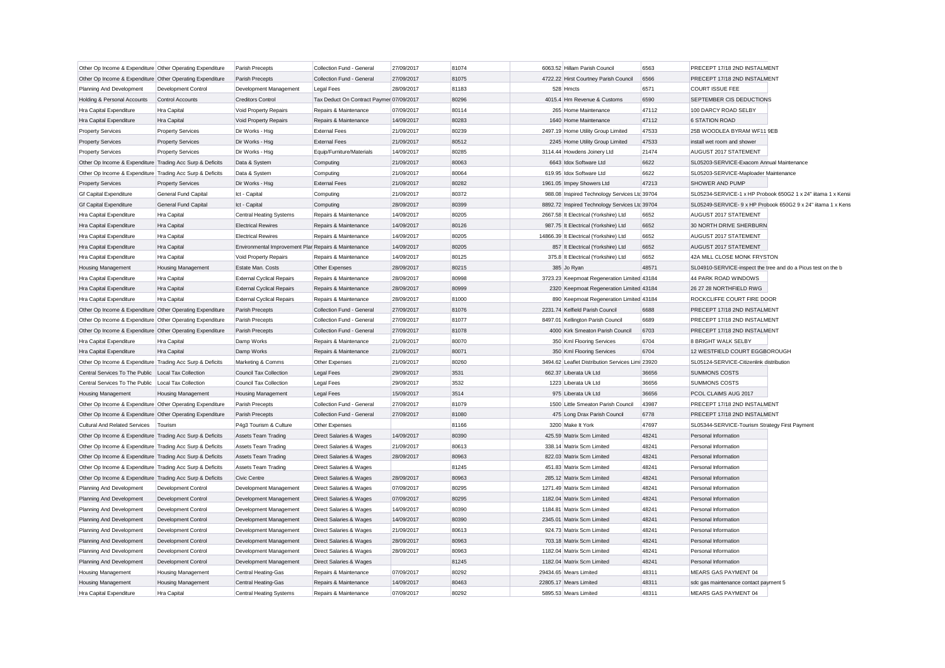| Other Op Income & Expenditure Other Operating Expenditure |                            | Parish Precepts                                      | Collection Fund - General                | 27/09/2017 | 81074 | 6063.52 Hillam Parish Council                    | 6563  | PRECEPT 17/18 2ND INSTALMENT                                  |                                                               |
|-----------------------------------------------------------|----------------------------|------------------------------------------------------|------------------------------------------|------------|-------|--------------------------------------------------|-------|---------------------------------------------------------------|---------------------------------------------------------------|
| Other Op Income & Expenditure Other Operating Expenditure |                            | Parish Precepts                                      | Collection Fund - General                | 27/09/2017 | 81075 | 4722.22 Hirst Courtney Parish Council            | 6566  | PRECEPT 17/18 2ND INSTALMENT                                  |                                                               |
| Planning And Development                                  | <b>Development Control</b> | Development Management                               | <b>Legal Fees</b>                        | 28/09/2017 | 81183 | 528 Hmcts                                        | 6571  | <b>COURT ISSUE FEE</b>                                        |                                                               |
| Holding & Personal Accounts                               | Control Accounts           | <b>Creditors Control</b>                             | Tax Deduct On Contract Paymer 07/09/2017 |            | 80296 | 4015.4 Hm Revenue & Customs                      | 6590  | SEPTEMBER CIS DEDUCTIONS                                      |                                                               |
| Hra Capital Expenditure                                   | Hra Capital                | Void Property Repairs                                | Repairs & Maintenance                    | 07/09/2017 | 80114 | 265 Home Maintenance                             | 47112 | 100 DARCY ROAD SELBY                                          |                                                               |
| Hra Capital Expenditure                                   | Hra Capital                | Void Property Repairs                                | Repairs & Maintenance                    | 14/09/2017 | 80283 | 1640 Home Maintenance                            | 47112 | <b>6 STATION ROAD</b>                                         |                                                               |
| <b>Property Services</b>                                  | <b>Property Services</b>   | Dir Works - Hsg                                      | <b>External Fees</b>                     | 21/09/2017 | 80239 | 2497.19 Home Utility Group Limited               | 47533 | 25B WOODLEA BYRAM WF11 9EB                                    |                                                               |
| <b>Property Services</b>                                  | <b>Property Services</b>   | Dir Works - Hsg                                      | <b>External Fees</b>                     | 21/09/2017 | 80512 | 2245 Home Utility Group Limited                  | 47533 | install wet room and shower                                   |                                                               |
| <b>Property Services</b>                                  | <b>Property Services</b>   | Dir Works - Hsg                                      | Equip/Furniture/Materials                | 14/09/2017 | 80285 | 3114.44 Howdens Joinery Ltd                      | 21474 | AUGUST 2017 STATEMENT                                         |                                                               |
| Other Op Income & Expenditure Trading Acc Surp & Deficits |                            | Data & System                                        | Computing                                | 21/09/2017 | 80063 | 6643 Idox Software Ltd                           | 6622  | SL05203-SERVICE-Exacom Annual Maintenance                     |                                                               |
| Other Op Income & Expenditure Trading Acc Surp & Deficits |                            | Data & System                                        | Computing                                | 21/09/2017 | 80064 | 619.95 Idox Software Ltd                         | 6622  | SL05203-SERVICE-Maploader Maintenance                         |                                                               |
| <b>Property Services</b>                                  | <b>Property Services</b>   | Dir Works - Hsg                                      | <b>External Fees</b>                     | 21/09/2017 | 80282 | 1961.05 Impey Showers Ltd                        | 47213 | SHOWER AND PUMP                                               |                                                               |
| <b>Gf Capital Expenditure</b>                             | General Fund Capital       | Ict - Capital                                        | Computing                                | 21/09/2017 | 80372 | 988.08 Inspired Technology Services Ltc 39704    |       |                                                               | SL05234-SERVICE-1 x HP Probook 650G2 1 x 24" iitama 1 x Kensi |
| <b>Gf Capital Expenditure</b>                             | General Fund Capital       | Ict - Capital                                        | Computing                                | 28/09/2017 | 80399 | 8892.72 Inspired Technology Services Ltc 39704   |       |                                                               | SL05249-SERVICE- 9 x HP Probook 650G2 9 x 24" iitama 1 x Kens |
| Hra Capital Expenditure                                   | Hra Capital                | <b>Central Heating Systems</b>                       | Repairs & Maintenance                    | 14/09/2017 | 80205 | 2667.58 It Electrical (Yorkshire) Ltd            | 6652  | AUGUST 2017 STATEMENT                                         |                                                               |
| Hra Capital Expenditure                                   | Hra Capital                | <b>Electrical Rewires</b>                            | Repairs & Maintenance                    | 14/09/2017 | 80126 | 987.75 It Electrical (Yorkshire) Ltd             | 6652  | 30 NORTH DRIVE SHERBURN                                       |                                                               |
| Hra Capital Expenditure                                   | Hra Capital                | <b>Electrical Rewires</b>                            | Repairs & Maintenance                    | 14/09/2017 | 80205 | 14866.39 It Electrical (Yorkshire) Ltd           | 6652  | AUGUST 2017 STATEMENT                                         |                                                               |
| Hra Capital Expenditure                                   | Hra Capital                | Environmental Improvement Plar Repairs & Maintenance |                                          | 14/09/2017 | 80205 | 857 It Electrical (Yorkshire) Ltd                | 6652  | AUGUST 2017 STATEMENT                                         |                                                               |
| Hra Capital Expenditure                                   | Hra Capital                | Void Property Repairs                                | Repairs & Maintenance                    | 14/09/2017 | 80125 | 375.8 It Electrical (Yorkshire) Ltd              | 6652  | 42A MILL CLOSE MONK FRYSTON                                   |                                                               |
| <b>Housing Management</b>                                 | Housing Management         | Estate Man, Costs                                    | Other Expenses                           | 28/09/2017 | 80215 | 385 Jo Ryan                                      | 48571 | SL04910-SERVICE-inspect the tree and do a Picus test on the b |                                                               |
| Hra Capital Expenditure                                   | Hra Capital                | <b>External Cyclical Repairs</b>                     | Repairs & Maintenance                    | 28/09/2017 | 80998 | 3723.23 Keepmoat Regeneration Limited 43184      |       | 44 PARK ROAD WINDOWS                                          |                                                               |
| Hra Capital Expenditure                                   | Hra Capital                | <b>External Cyclical Repairs</b>                     | Repairs & Maintenance                    | 28/09/2017 | 80999 | 2320 Keepmoat Regeneration Limited 43184         |       | 26 27 28 NORTHFIELD RWG                                       |                                                               |
| Hra Capital Expenditure                                   | Hra Capital                | <b>External Cyclical Repairs</b>                     | Repairs & Maintenance                    | 28/09/2017 | 81000 | 890 Keepmoat Regeneration Limited 43184          |       | ROCKCLIFFE COURT FIRE DOOR                                    |                                                               |
| Other Op Income & Expenditure Other Operating Expenditure |                            | Parish Precepts                                      | Collection Fund - General                | 27/09/2017 | 81076 | 2231.74 Kelfield Parish Council                  | 6688  | PRECEPT 17/18 2ND INSTALMENT                                  |                                                               |
| Other Op Income & Expenditure Other Operating Expenditure |                            | Parish Precepts                                      | Collection Fund - General                | 27/09/2017 | 81077 | 8497.01 Kellington Parish Council                | 6689  | PRECEPT 17/18 2ND INSTALMENT                                  |                                                               |
| Other Op Income & Expenditure Other Operating Expenditure |                            | Parish Precepts                                      | Collection Fund - General                | 27/09/2017 | 81078 | 4000 Kirk Smeaton Parish Council                 | 6703  | PRECEPT 17/18 2ND INSTALMENT                                  |                                                               |
| Hra Capital Expenditure                                   | Hra Capital                | Damp Works                                           | Repairs & Maintenance                    | 21/09/2017 | 80070 | 350 Kml Flooring Services                        | 6704  | <b>8 BRIGHT WALK SELBY</b>                                    |                                                               |
| Hra Capital Expenditure                                   | Hra Capital                | Damp Works                                           | Repairs & Maintenance                    | 21/09/2017 | 80071 | 350 Kml Flooring Services                        | 6704  | 12 WESTFIELD COURT EGGBOROUGH                                 |                                                               |
| Other Op Income & Expenditure Trading Acc Surp & Deficits |                            | Marketing & Comms                                    | Other Expenses                           | 21/09/2017 | 80260 | 3494.62 Leaflet Distribution Services Limi 23920 |       | SL05124-SERVICE-Citizenlink distribution                      |                                                               |
| Central Services To The Public                            | Local Tax Collection       | <b>Council Tax Collection</b>                        | Legal Fees                               | 29/09/2017 | 3531  | 662.37 Liberata Uk Ltd                           | 36656 | <b>SUMMONS COSTS</b>                                          |                                                               |
| Central Services To The Public                            | Local Tax Collection       | <b>Council Tax Collection</b>                        | Legal Fees                               | 29/09/2017 | 3532  | 1223 Liberata Uk Ltd                             | 36656 | SUMMONS COSTS                                                 |                                                               |
| <b>Housing Management</b>                                 | <b>Housing Management</b>  | <b>Housing Management</b>                            | Legal Fees                               | 15/09/2017 | 3514  | 975 Liberata Uk Ltd                              | 36656 | PCOL CLAIMS AUG 2017                                          |                                                               |
| Other Op Income & Expenditure Other Operating Expenditure |                            | Parish Precepts                                      | Collection Fund - General                | 27/09/2017 | 81079 | 1500 Little Smeaton Parish Council               | 43987 | PRECEPT 17/18 2ND INSTALMENT                                  |                                                               |
| Other Op Income & Expenditure Other Operating Expenditure |                            | Parish Precepts                                      | Collection Fund - General                | 27/09/2017 | 81080 | 475 Long Drax Parish Council                     | 6778  | PRECEPT 17/18 2ND INSTALMENT                                  |                                                               |
| Cultural And Related Services                             | Tourism                    | P4g3 Tourism & Culture                               | Other Expenses                           |            | 81166 | 3200 Make It York                                | 47697 | SL05344-SERVICE-Tourism Strategy First Payment                |                                                               |
| Other Op Income & Expenditure Trading Acc Surp & Deficits |                            | <b>Assets Team Trading</b>                           | Direct Salaries & Wages                  | 14/09/2017 | 80390 | 425.59 Matrix Scm Limited                        | 48241 | Personal Information                                          |                                                               |
| Other Op Income & Expenditure Trading Acc Surp & Deficits |                            | Assets Team Trading                                  | Direct Salaries & Wages                  | 21/09/2017 | 80613 | 338.14 Matrix Scm Limited                        | 48241 | Personal Information                                          |                                                               |
| Other Op Income & Expenditure Trading Acc Surp & Deficits |                            | <b>Assets Team Trading</b>                           | Direct Salaries & Wages                  | 28/09/2017 | 80963 | 822.03 Matrix Scm Limited                        | 48241 | Personal Information                                          |                                                               |
| Other Op Income & Expenditure Trading Acc Surp & Deficits |                            | <b>Assets Team Trading</b>                           | Direct Salaries & Wages                  |            | 81245 | 451.83 Matrix Scm Limited                        | 48241 | Personal Information                                          |                                                               |
| Other Op Income & Expenditure Trading Acc Surp & Deficits |                            | Civic Centre                                         | Direct Salaries & Wages                  | 28/09/2017 | 80963 | 285.12 Matrix Scm Limited                        | 48241 | Personal Information                                          |                                                               |
| Planning And Development                                  | Development Control        | Development Management                               | Direct Salaries & Wages                  | 07/09/2017 | 80295 | 1271.49 Matrix Scm Limited                       | 48241 | Personal Information                                          |                                                               |
| Planning And Development                                  | Development Control        | Development Management                               | Direct Salaries & Wages                  | 07/09/2017 | 80295 | 1182.04 Matrix Scm Limited                       | 48241 | Personal Information                                          |                                                               |
| Planning And Development                                  | <b>Development Control</b> | Development Management                               | Direct Salaries & Wages                  | 14/09/2017 | 80390 | 1184.81 Matrix Scm Limited                       | 48241 | Personal Information                                          |                                                               |
| Planning And Development                                  | Development Control        | Development Management                               | Direct Salaries & Wages                  | 14/09/2017 | 80390 | 2345.01 Matrix Scm Limited                       | 48241 | Personal Information                                          |                                                               |
| Planning And Development                                  | <b>Development Control</b> | Development Management                               | Direct Salaries & Wages                  | 21/09/2017 | 80613 | 924.73 Matrix Scm Limited                        | 48241 | Personal Information                                          |                                                               |
| Planning And Development                                  | Development Control        | Development Management                               | <b>Direct Salaries &amp; Wages</b>       | 28/09/2017 | 80963 | 703.18 Matrix Scm Limited                        | 48241 | Personal Information                                          |                                                               |
| Planning And Development                                  | Development Control        | Development Management                               | Direct Salaries & Wages                  | 28/09/2017 | 80963 | 1182.04 Matrix Scm Limited                       | 48241 | Personal Information                                          |                                                               |
| Planning And Development                                  | Development Control        | Development Management                               | Direct Salaries & Wages                  |            | 81245 | 1182.04 Matrix Scm Limited                       | 48241 | Personal Information                                          |                                                               |
| Housing Management                                        | <b>Housing Management</b>  | Central Heating-Gas                                  | Repairs & Maintenance                    | 07/09/2017 | 80292 | 29434.65 Mears Limited                           | 48311 | MEARS GAS PAYMENT 04                                          |                                                               |
| <b>Housing Management</b>                                 | <b>Housing Management</b>  | <b>Central Heating-Gas</b>                           | Repairs & Maintenance                    | 14/09/2017 | 80463 | 22805.17 Mears Limited                           | 48311 | sdc gas maintenance contact payment 5                         |                                                               |
| Hra Capital Expenditure                                   | Hra Capital                | <b>Central Heating Systems</b>                       | Repairs & Maintenance                    | 07/09/2017 | 80292 | 5895.53 Mears Limited                            | 48311 | MEARS GAS PAYMENT 04                                          |                                                               |
|                                                           |                            |                                                      |                                          |            |       |                                                  |       |                                                               |                                                               |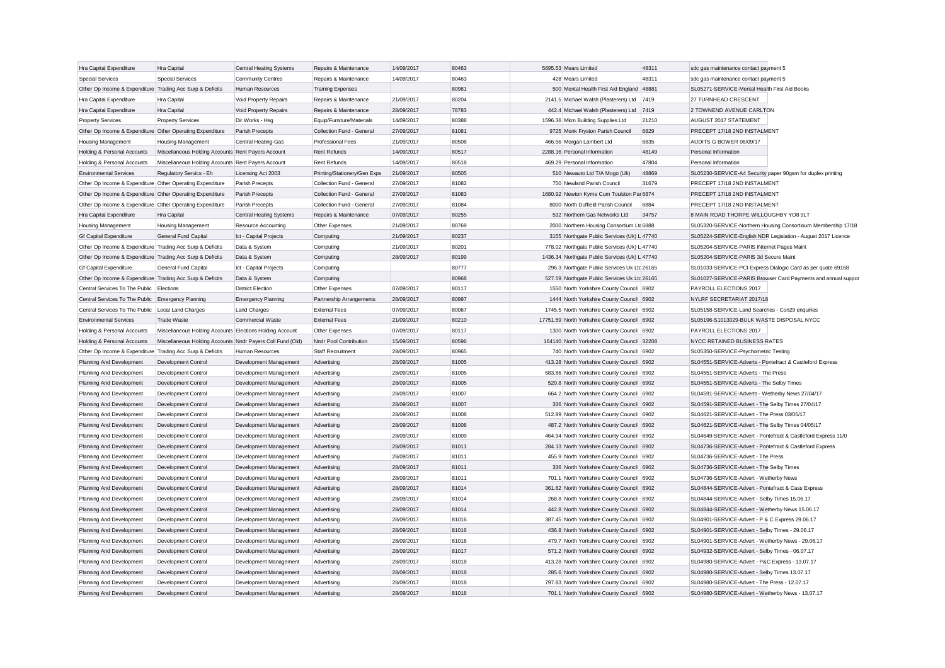| Hra Capital Expenditure                                   | Hra Capital                                                | <b>Central Heating Systems</b> | Repairs & Maintenance        | 14/09/2017               | 80463          | 5895.53 Mears Limited                          | 48311 | sdc gas maintenance contact payment 5                       |                                                               |
|-----------------------------------------------------------|------------------------------------------------------------|--------------------------------|------------------------------|--------------------------|----------------|------------------------------------------------|-------|-------------------------------------------------------------|---------------------------------------------------------------|
| <b>Special Services</b>                                   | <b>Special Services</b>                                    | <b>Community Centres</b>       | Repairs & Maintenance        | 14/09/2017               | 80463          | 428 Mears Limited                              | 48311 | sdc gas maintenance contact payment 5                       |                                                               |
| Other Op Income & Expenditure Trading Acc Surp & Deficits |                                                            | Human Resources                | <b>Training Expenses</b>     |                          | 80981          | 500 Mental Health First Aid England 48881      |       | SL05271-SERVICE-Mental Health First Aid Books               |                                                               |
| Hra Capital Expenditure                                   | <b>Hra Capital</b>                                         | Void Property Repairs          | Repairs & Maintenance        | 21/09/2017               | 80204          | 2141.5 Michael Walsh (Plasterers) Ltd 7419     |       | 27 TURNHEAD CRESCENT                                        |                                                               |
| Hra Capital Expenditure                                   | Hra Capital                                                | Void Property Repairs          | Repairs & Maintenance        | 28/09/2017               | 78783          | 442.4 Michael Walsh (Plasterers) Ltd           | 7419  | 2 TOWNEND AVENUE CARLTON                                    |                                                               |
| <b>Property Services</b>                                  | <b>Property Services</b>                                   | Dir Works - Hsg                | Equip/Furniture/Materials    | 14/09/2017               | 80388          | 1596.36 Mkm Building Supplies Ltd              | 21210 | AUGUST 2017 STATEMENT                                       |                                                               |
| Other Op Income & Expenditure Other Operating Expenditure |                                                            | Parish Precepts                | Collection Fund - General    | 27/09/2017               | 81081          | 9725 Monk Fryston Parish Council               | 6829  | PRECEPT 17/18 2ND INSTALMENT                                |                                                               |
| <b>Housing Management</b>                                 | <b>Housing Management</b>                                  | Central Heating-Gas            | <b>Professional Fees</b>     | 21/09/2017               | 80508          | 466.56 Morgan Lambert Ltd                      | 6835  | AUDITS G BOWER 06/09/17                                     |                                                               |
| Holding & Personal Accounts                               | Miscellaneous Holding Accounts Rent Payers Account         |                                | Rent Refunds                 | 14/09/2017               | 80517          | 2288.16 Personal Information                   | 48149 | Personal Information                                        |                                                               |
| Holding & Personal Accounts                               | Miscellaneous Holding Accounts Rent Payers Account         |                                | Rent Refunds                 | 14/09/2017               | 80518          | 469.29 Personal Information                    | 47804 | Personal Information                                        |                                                               |
| <b>Environmental Services</b>                             | Regulatory Servics - Eh                                    | Licensing Act 2003             | Printing/Stationery/Gen Exps | 21/09/2017               | 80505          | 510 Newauto Ltd T/A Mogo (Uk)                  | 48869 | SL05230-SERVICE-A4 Security paper 90gsm for duplex printing |                                                               |
| Other Op Income & Expenditure Other Operating Expenditure |                                                            | Parish Precepts                | Collection Fund - General    | 27/09/2017               | 81082          | 750 Newland Parish Council                     | 31679 | PRECEPT 17/18 2ND INSTALMENT                                |                                                               |
| Other Op Income & Expenditure Other Operating Expenditure |                                                            | Parish Precepts                | Collection Fund - General    | 27/09/2017               | 81083          | 1680.92 Newton Kyme Cum Toulston Par 6874      |       | PRECEPT 17/18 2ND INSTALMENT                                |                                                               |
| Other Op Income & Expenditure Other Operating Expenditure |                                                            | Parish Precepts                | Collection Fund - General    | 27/09/2017               | 81084          | 8000 North Duffield Parish Council             | 6884  | PRECEPT 17/18 2ND INSTALMENT                                |                                                               |
| Hra Capital Expenditure                                   | Hra Capital                                                | <b>Central Heating Systems</b> | Repairs & Maintenance        | 07/09/2017               | 80255          | 532 Northern Gas Networks Ltd                  | 34757 | 8 MAIN ROAD THORPE WILLOUGHBY YO8 9LT                       |                                                               |
| <b>Housing Management</b>                                 | <b>Housing Management</b>                                  | <b>Resource Accounting</b>     | Other Expenses               | 21/09/2017               | 80769          | 2000 Northern Housing Consortium Ltd 6888      |       |                                                             | SL05320-SERVICE-Northern Housing Consortioum Membership 17/18 |
| <b>Gf Capital Expenditure</b>                             | General Fund Capital                                       | Ict - Capital Projects         | Computing                    | 21/09/2017               | 80237          | 3155 Northgate Public Services (Uk) L 47740    |       |                                                             | SL05224-SERVICE-English NDR Legislation - August 2017 Licence |
| Other Op Income & Expenditure Trading Acc Surp & Deficits |                                                            | Data & System                  | Computing                    | 21/09/2017               | 80201          | 778.02 Northgate Public Services (Uk) L 47740  |       | SL05204-SERVICE-PARIS INternet Pages Maint                  |                                                               |
| Other Op Income & Expenditure Trading Acc Surp & Deficits |                                                            | Data & System                  | Computing                    | 28/09/2017               | 80199          | 1436.34 Northgate Public Services (Uk) L 47740 |       | SL05204-SERVICE-PARIS 3d Secure Maint                       |                                                               |
| <b>Gf Capital Expenditure</b>                             | General Fund Capital                                       | Ict - Capital Projects         | Computing                    |                          | 80777          | 296.3 Northgate Public Services Uk Ltc 26165   |       |                                                             | SL01033-SERVICE-PCI Express Dialogic Card as per quote 69168  |
| Other Op Income & Expenditure Trading Acc Surp & Deficits |                                                            | Data & System                  | Computing                    |                          | 80968          | 527.59 Northgate Public Services Uk Ltc 26165  |       |                                                             | SL01027-SERVICE-PARIS Browser Card Payments and annual suppor |
| Central Services To The Public Elections                  |                                                            | <b>District Election</b>       | Other Expenses               | 07/09/2017               | 80117          | 1550 North Yorkshire County Council 6902       |       | PAYROLL ELECTIONS 2017                                      |                                                               |
| Central Services To The Public Emergency Planning         |                                                            | <b>Emergency Planning</b>      | Partnership Arrangements     | 28/09/2017               | 80997          | 1444 North Yorkshire County Council 6902       |       | NYLRF SECRETARIAT 2017/18                                   |                                                               |
| Central Services To The Public   Local Land Charges       |                                                            | <b>Land Charges</b>            | <b>External Fees</b>         | 07/09/2017               | 80067          | 1745.5 North Yorkshire County Council          | 6902  | SL05158-SERVICE-Land Searches - Con29 enquiries             |                                                               |
| <b>Environmental Services</b>                             | <b>Trade Waste</b>                                         | <b>Commercial Waste</b>        | <b>External Fees</b>         | 21/09/2017               | 80210          | 17751.59 North Yorkshire County Council 6902   |       | SL05196-S1013029-BULK WASTE DISPOSAL NYCC                   |                                                               |
| Holding & Personal Accounts                               | Miscellaneous Holding Accounts Elections Holding Account   |                                | Other Expenses               | 07/09/2017               | 80117          | 1300 North Yorkshire County Council 6902       |       | PAYROLL ELECTIONS 2017                                      |                                                               |
| Holding & Personal Accounts                               | Miscellaneous Holding Accounts Nndr Payers Coll Fund (Old) |                                | Nndr Pool Contribution       | 15/09/2017               | 80596          | 164140 North Yorkshire County Council 32208    |       | NYCC RETAINED BUSINESS RATES                                |                                                               |
| Other Op Income & Expenditure Trading Acc Surp & Deficits |                                                            | Human Resources                | <b>Staff Recruitment</b>     | 28/09/2017               | 80965          | 740 North Yorkshire County Council 6902        |       | SL05350-SERVICE-Psychometric Testing                        |                                                               |
| Planning And Development                                  | Development Control                                        | Development Management         | Advertising                  | 28/09/2017               | 81005          | 413.28 North Yorkshire County Council 6902     |       | SL04551-SERVICE-Adverts - Pontefract & Castleford Express   |                                                               |
| Planning And Development                                  | Development Control                                        | Development Management         | Advertising                  | 28/09/2017               | 81005          | 683.86 North Yorkshire County Council 6902     |       | SL04551-SERVICE-Adverts - The Press                         |                                                               |
| Planning And Development                                  | Development Control                                        | Development Management         | Advertising                  | 28/09/2017               | 81005          | 520.8 North Yorkshire County Council           | 6902  | SL04551-SERVICE-Adverts - The Selby Times                   |                                                               |
| Planning And Development                                  | Development Control                                        | Development Management         | Advertising                  | 28/09/2017               | 81007          | 664.2 North Yorkshire County Council 6902      |       | SL04591-SERVICE-Adverts - Wetherby News 27/04/17            |                                                               |
|                                                           |                                                            |                                |                              | 28/09/2017               | 81007          | 336 North Yorkshire County Council 6902        |       | SL04591-SERVICE-Advert - The Selby Times 27/04/17           |                                                               |
| Planning And Development                                  | Development Control                                        | Development Management         | Advertising<br>Advertising   | 28/09/2017               | 81008          |                                                |       | SL04621-SERVICE-Advert - The Press 03/05/17                 |                                                               |
| Planning And Development                                  | Development Control                                        | Development Management         |                              |                          |                | 512.89 North Yorkshire County Council 6902     |       |                                                             |                                                               |
| Planning And Development                                  | <b>Development Control</b>                                 | Development Management         | Advertising                  | 28/09/2017<br>28/09/2017 | 81008<br>81009 | 487.2 North Yorkshire County Council 6902      |       | SL04621-SERVICE-Advert - The Selby Times 04/05/17           |                                                               |
| Planning And Development                                  | Development Control                                        | Development Management         | Advertising                  | 28/09/2017               | 81011          | 464.94 North Yorkshire County Council 6902     |       |                                                             | SL04649-SERVICE-Advert - Pontefract & Castleford Express 11/0 |
| Planning And Development                                  | Development Control                                        | Development Management         | Advertising                  |                          |                | 284.13 North Yorkshire County Council 6902     |       | SL04736-SERVICE-Advert - Pontefract & Castleford Express    |                                                               |
| Planning And Development                                  | Development Control                                        | Development Management         | Advertising                  | 28/09/2017               | 81011          | 455.9 North Yorkshire County Council 6902      |       | SL04736-SERVICE-Advert - The Press                          |                                                               |
| Planning And Development                                  | Development Control                                        | Development Management         | Advertising                  | 28/09/2017               | 81011          | 336 North Yorkshire County Council 6902        |       | SL04736-SERVICE-Advert - The Selby Times                    |                                                               |
| Planning And Development                                  | Development Control                                        | Development Management         | Advertising                  | 28/09/2017               | 81011          | 701.1 North Yorkshire County Council 6902      |       | SL04736-SERVICE-Advert - Wetherby News                      |                                                               |
| Planning And Development                                  | <b>Development Control</b>                                 | Development Management         | Advertising                  | 28/09/2017               | 81014          | 361.62 North Yorkshire County Council          | 6902  | SL04844-SERVICE-Advert - Pontefract & Cass Express          |                                                               |
| Planning And Development                                  | Development Control                                        | Development Management         | Advertising                  | 28/09/2017               | 81014          | 268.8 North Yorkshire County Council 6902      |       | SL04844-SERVICE-Advert - Selby Times 15.06.17               |                                                               |
| Planning And Development                                  | Development Control                                        | Development Management         | Advertising                  | 28/09/2017               | 81014          | 442.8 North Yorkshire County Council           | 6902  | SL04844-SERVICE-Advert - Wetherby News 15.06.17             |                                                               |
| Planning And Development                                  | Development Control                                        | Development Management         | Advertising                  | 28/09/2017               | 81016          | 387.45 North Yorkshire County Council 6902     |       | SL04901-SERVICE-Advert - P & C Express 29.06.17             |                                                               |
| Planning And Development                                  | Development Control                                        | Development Management         | Advertising                  | 28/09/2017               | 81016          | 436.8 North Yorkshire County Council 6902      |       | SL04901-SERVICE-Advert - Selby Times - 29.06.17             |                                                               |
| Planning And Development                                  | Development Control                                        | Development Management         | Advertising                  | 28/09/2017               | 81016          | 479.7 North Yorkshire County Council 6902      |       | SL04901-SERVICE-Advert - Wetherby News - 29.06.17           |                                                               |
| Planning And Development                                  | Development Control                                        | Development Management         | Advertising                  | 28/09/2017               | 81017          | 571.2 North Yorkshire County Council           | 6902  | SL04932-SERVICE-Advert - Selby Times - 06.07.17             |                                                               |
| Planning And Development                                  | Development Control                                        | Development Management         | Advertising                  | 28/09/2017               | 81018          | 413.28 North Yorkshire County Council          | 6902  | SL04980-SERVICE-Advert - P&C Express - 13.07.17             |                                                               |
| Planning And Development                                  | Development Control                                        | Development Management         | Advertising                  | 28/09/2017               | 81018          | 285.6 North Yorkshire County Council           | 6902  | SL04980-SERVICE-Advert - Selby Times 13.07.17               |                                                               |
| Planning And Development                                  | Development Control                                        | Development Management         | Advertising                  | 28/09/2017               | 81018          | 797.83 North Yorkshire County Council          | 6902  | SL04980-SERVICE-Advert - The Press - 12.07.17               |                                                               |
| Planning And Development                                  | <b>Development Control</b>                                 | Development Management         | Advertising                  | 28/09/2017               | 81018          | 701.1 North Yorkshire County Council           | 6902  | SL04980-SERVICE-Advert - Wetherby News - 13.07.17           |                                                               |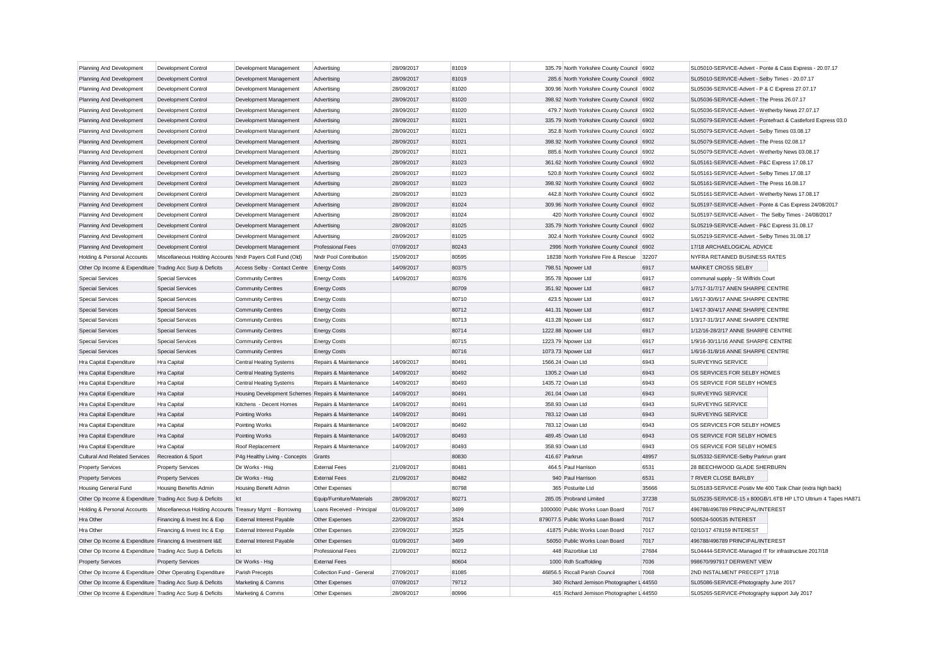| Planning And Development                                        | Development Control                                        | Development Management                            | Advertising                | 28/09/2017 | 81019        |                | 335.79 North Yorkshire County Council 6902                        |       | SL05010-SERVICE-Advert - Ponte & Cass Express - 20.07.17                                                                     |
|-----------------------------------------------------------------|------------------------------------------------------------|---------------------------------------------------|----------------------------|------------|--------------|----------------|-------------------------------------------------------------------|-------|------------------------------------------------------------------------------------------------------------------------------|
| Planning And Development                                        | Development Control                                        | Development Management                            | Advertising                | 28/09/2017 | 81019        |                | 285.6 North Yorkshire County Council 6902                         |       | SL05010-SERVICE-Advert - Selby Times - 20.07.17                                                                              |
| Planning And Development                                        | Development Control                                        | Development Management                            | Advertising                | 28/09/2017 | 81020        |                | 309.96 North Yorkshire County Council 6902                        |       | SL05036-SERVICE-Advert - P & C Express 27.07.17                                                                              |
| Planning And Development                                        | <b>Development Control</b>                                 | Development Management                            | Advertising                | 28/09/2017 | 81020        |                | 398.92 North Yorkshire County Council 6902                        |       | SL05036-SERVICE-Advert - The Press 26.07.17                                                                                  |
| Planning And Development                                        | Development Control                                        | Development Management                            | Advertising                | 28/09/2017 | 81020        |                | 479.7 North Yorkshire County Council 6902                         |       | SL05036-SERVICE-Advert - Wetherby News 27.07.17                                                                              |
| Planning And Development                                        | Development Control                                        | Development Management                            | Advertising                | 28/09/2017 | 81021        |                | 335.79 North Yorkshire County Council 6902                        |       | SL05079-SERVICE-Advert - Pontefract & Castleford Express 03.0                                                                |
| Planning And Development                                        | <b>Development Control</b>                                 | Development Management                            | Advertising                | 28/09/2017 | 81021        |                | 352.8 North Yorkshire County Council 6902                         |       | SL05079-SERVICE-Advert - Selby Times 03.08.17                                                                                |
| Planning And Development                                        | Development Control                                        | Development Management                            | Advertising                | 28/09/2017 | 81021        |                | 398.92 North Yorkshire County Council 6902                        |       | SL05079-SERVICE-Advert - The Press 02.08.17                                                                                  |
| Planning And Development                                        | <b>Development Control</b>                                 | Development Management                            | Advertising                | 28/09/2017 | 81021        |                | 885.6 North Yorkshire County Council 6902                         |       | SL05079-SERVICE-Advert - Wetherby News 03.08.17                                                                              |
| Planning And Development                                        | <b>Development Control</b>                                 | Development Management                            | Advertising                | 28/09/2017 | 81023        |                | 361.62 North Yorkshire County Council 6902                        |       | SL05161-SERVICE-Advert - P&C Express 17.08.17                                                                                |
| Planning And Development                                        | Development Control                                        | Development Management                            | Advertising                | 28/09/2017 | 81023        |                | 520.8 North Yorkshire County Council 6902                         |       | SL05161-SERVICE-Advert - Selby Times 17.08.17                                                                                |
| Planning And Development                                        | <b>Development Control</b>                                 | Development Management                            | Advertising                | 28/09/2017 | 81023        |                | 398.92 North Yorkshire County Council 6902                        |       | SL05161-SERVICE-Advert - The Press 16.08.17                                                                                  |
| Planning And Development                                        | Development Control                                        | Development Management                            | Advertising                | 28/09/2017 | 81023        |                | 442.8 North Yorkshire County Council 6902                         |       | SL05161-SERVICE-Advert - Wetherby News 17.08.17                                                                              |
| Planning And Development                                        | <b>Development Control</b>                                 | Development Management                            | Advertising                | 28/09/2017 | 81024        |                | 309.96 North Yorkshire County Council 6902                        |       | SL05197-SERVICE-Advert - Ponte & Cas Express 24/08/2017                                                                      |
| Planning And Development                                        | Development Control                                        | Development Management                            | Advertising                | 28/09/2017 | 81024        |                | 420 North Yorkshire County Council 6902                           |       | SL05197-SERVICE-Advert - The Selby Times - 24/08/2017                                                                        |
| Planning And Development                                        | <b>Development Control</b>                                 | Development Management                            | Advertising                | 28/09/2017 | 81025        |                | 335.79 North Yorkshire County Council 6902                        |       | SL05219-SERVICE-Advert - P&C Express 31.08.17                                                                                |
| Planning And Development                                        | Development Control                                        | Development Management                            | Advertising                | 28/09/2017 | 81025        |                | 302.4 North Yorkshire County Council 6902                         |       | SL05219-SERVICE-Advert - Selby Times 31.08.17                                                                                |
| Planning And Development                                        | <b>Development Control</b>                                 | Development Management                            | Professional Fees          | 07/09/2017 | 80243        |                | 2996 North Yorkshire County Council 6902                          |       | 17/18 ARCHAELOGICAL ADVICE                                                                                                   |
| Holding & Personal Accounts                                     | Miscellaneous Holding Accounts Nndr Payers Coll Fund (Old) |                                                   | Nndr Pool Contribution     | 15/09/2017 | 80595        |                | 18238 North Yorkshire Fire & Rescue                               | 32207 | NYFRA RETAINED BUSINESS RATES                                                                                                |
| Other Op Income & Expenditure Trading Acc Surp & Deficits       |                                                            | Access Selby - Contact Centre                     | <b>Energy Costs</b>        | 14/09/2017 | 80375        |                | 798.51 Npower Ltd                                                 | 6917  | <b>MARKET CROSS SELBY</b>                                                                                                    |
| <b>Special Services</b>                                         | <b>Special Services</b>                                    | <b>Community Centres</b>                          | <b>Energy Costs</b>        | 14/09/2017 | 80376        |                | 355.78 Npower Ltd                                                 | 6917  | communal supply - St Wilfrids Court                                                                                          |
| <b>Special Services</b>                                         | <b>Special Services</b>                                    | <b>Community Centres</b>                          | <b>Energy Costs</b>        |            | 80709        |                | 351.92 Npower Ltd                                                 | 6917  | 1/7/17-31/7/17 ANEN SHARPE CENTRE                                                                                            |
| <b>Special Services</b>                                         | <b>Special Services</b>                                    | <b>Community Centres</b>                          | <b>Energy Costs</b>        |            | 80710        |                | 423.5 Npower Ltd                                                  | 6917  | 1/6/17-30/6/17 ANNE SHARPE CENTRE                                                                                            |
| <b>Special Services</b>                                         | <b>Special Services</b>                                    | <b>Community Centres</b>                          | <b>Energy Costs</b>        |            | 80712        |                | 441.31 Npower Ltd                                                 | 6917  | 1/4/17-30/4/17 ANNE SHARPE CENTRE                                                                                            |
| <b>Special Services</b>                                         | <b>Special Services</b>                                    | <b>Community Centres</b>                          | <b>Energy Costs</b>        |            | 80713        |                | 413.28 Npower Ltd                                                 | 6917  | 1/3/17-31/3/17 ANNE SHARPE CENTRE                                                                                            |
| <b>Special Services</b>                                         | <b>Special Services</b>                                    | <b>Community Centres</b>                          | <b>Energy Costs</b>        |            | 80714        |                | 1222.88 Npower Ltd                                                | 6917  | 1/12/16-28/2/17 ANNE SHARPE CENTRE                                                                                           |
| <b>Special Services</b>                                         | <b>Special Services</b>                                    | <b>Community Centres</b>                          | <b>Energy Costs</b>        |            | 80715        |                | 1223.79 Npower Ltd                                                | 6917  | 1/9/16-30/11/16 ANNE SHARPE CENTRE                                                                                           |
| <b>Special Services</b>                                         | <b>Special Services</b>                                    | <b>Community Centres</b>                          | <b>Energy Costs</b>        |            | 80716        |                | 1073.73 Npower Ltd                                                | 6917  | 1/6/16-31/8/16 ANNE SHARPE CENTRE                                                                                            |
| Hra Capital Expenditure                                         | Hra Capital                                                | <b>Central Heating Systems</b>                    | Repairs & Maintenance      | 14/09/2017 | 80491        |                | 1566.24 Owan Ltd                                                  | 6943  | <b>SURVEYING SERVICE</b>                                                                                                     |
| Hra Capital Expenditure                                         | Hra Capital                                                | <b>Central Heating Systems</b>                    | Repairs & Maintenance      | 14/09/2017 | 80492        |                | 1305.2 Owan Ltd                                                   | 6943  | OS SERVICES FOR SELBY HOMES                                                                                                  |
| Hra Capital Expenditure                                         | Hra Capital                                                | <b>Central Heating Systems</b>                    | Repairs & Maintenance      | 14/09/2017 | 80493        |                | 1435.72 Owan Ltd                                                  | 6943  | OS SERVICE FOR SELBY HOMES                                                                                                   |
| Hra Capital Expenditure                                         | Hra Capital                                                | Housing Development Schemes Repairs & Maintenance |                            | 14/09/2017 | 80491        |                | 261.04 Owan Ltd                                                   | 6943  | <b>SURVEYING SERVICE</b>                                                                                                     |
| Hra Capital Expenditure                                         | Hra Capital                                                | Kitchens - Decent Homes                           | Repairs & Maintenance      | 14/09/2017 | 80491        |                | 358.93 Owan Ltd                                                   | 6943  | <b>SURVEYING SERVICE</b>                                                                                                     |
| Hra Capital Expenditure                                         | Hra Capital                                                | Pointing Works                                    | Repairs & Maintenance      | 14/09/2017 | 80491        |                | 783.12 Owan Ltd                                                   | 6943  | <b>SURVEYING SERVICE</b>                                                                                                     |
| Hra Capital Expenditure                                         | Hra Capital                                                |                                                   | Repairs & Maintenance      | 14/09/2017 | 80492        |                | 783.12 Owan Ltd                                                   | 6943  | OS SERVICES FOR SELBY HOMES                                                                                                  |
| Hra Capital Expenditure                                         | Hra Capital                                                | Pointing Works<br>Pointing Works                  | Repairs & Maintenance      | 14/09/2017 | 80493        |                | 489.45 Owan Ltd                                                   | 6943  | OS SERVICE FOR SELBY HOMES                                                                                                   |
|                                                                 | Hra Capital                                                |                                                   | Repairs & Maintenance      | 14/09/2017 | 80493        |                | 358.93 Owan Ltd                                                   | 6943  | OS SERVICE FOR SELBY HOMES                                                                                                   |
| Hra Capital Expenditure<br><b>Cultural And Related Services</b> | Recreation & Sport                                         | Roof Replacement<br>P4g Healthy Living - Concepts | Grants                     |            | 80830        | 416.67 Parkrun |                                                                   | 48957 | SL05332-SERVICE-Selby Parkrun grant                                                                                          |
|                                                                 |                                                            |                                                   | <b>External Fees</b>       | 21/09/2017 | 80481        |                | 464.5 Paul Harrison                                               | 6531  | 28 BEECHWOOD GLADE SHERBURN                                                                                                  |
| <b>Property Services</b>                                        | <b>Property Services</b>                                   | Dir Works - Hsg                                   | <b>External Fees</b>       | 21/09/2017 | 80482        |                | 940 Paul Harrison                                                 | 6531  | 7 RIVER CLOSE BARLBY                                                                                                         |
| <b>Property Services</b>                                        | <b>Property Services</b>                                   | Dir Works - Hsg                                   |                            |            | 80798        |                | 365 Posturite Ltd                                                 |       |                                                                                                                              |
| <b>Housing General Fund</b>                                     | Housing Benefits Admin                                     | Housing Benefit Admin<br>Ict                      | Other Expenses             |            | 80271        |                |                                                                   | 35666 | SL05183-SERVICE-Positiv Me 400 Task Chair (extra high back)<br>SL05235-SERVICE-15 x 800GB/1.6TB HP LTO Ultrium 4 Tapes HA871 |
| Other Op Income & Expenditure Trading Acc Surp & Deficits       |                                                            |                                                   | Equip/Furniture/Materials  | 28/09/2017 |              |                | 285.05 Probrand Limited                                           | 37238 | 496788/496789 PRINCIPAL/INTEREST                                                                                             |
| Holding & Personal Accounts                                     | Miscellaneous Holding Accounts Treasury Mgmt - Borrowing   |                                                   | Loans Received - Principal | 01/09/2017 | 3499<br>3524 |                | 1000000 Public Works Loan Board                                   | 7017  | 500524-500535 INTEREST                                                                                                       |
| Hra Other                                                       | Financing & Invest Inc & Exp                               | <b>External Interest Payable</b>                  | Other Expenses             | 22/09/2017 | 3525         |                | 879077.5 Public Works Loan Board<br>41875 Public Works Loan Board | 7017  | 02/10/17 478159 INTEREST                                                                                                     |
| Hra Other                                                       | Financing & Invest Inc & Exp                               | <b>External Interest Payable</b>                  | Other Expenses             | 22/09/2017 |              |                |                                                                   | 7017  |                                                                                                                              |
| Other Op Income & Expenditure Financing & Investment I&E        |                                                            | <b>External Interest Payable</b>                  | Other Expenses             | 01/09/2017 | 3499         |                | 56050 Public Works Loan Board                                     | 7017  | 496788/496789 PRINCIPAL/INTEREST                                                                                             |
| Other Op Income & Expenditure Trading Acc Surp & Deficits       |                                                            | Ict                                               | Professional Fees          | 21/09/2017 | 80212        |                | 448 Razorblue Ltd                                                 | 27684 | SL04444-SERVICE-Managed IT for infrastructure 2017/18                                                                        |
| <b>Property Services</b>                                        | <b>Property Services</b>                                   | Dir Works - Hsg                                   | <b>External Fees</b>       |            | 80604        |                | 1000 Rdh Scaffolding                                              | 7036  | 998670/997917 DERWENT VIEW                                                                                                   |
| Other Op Income & Expenditure Other Operating Expenditure       |                                                            | Parish Precepts                                   | Collection Fund - General  | 27/09/2017 | 81085        |                | 46856.5 Riccall Parish Council                                    | 7068  | 2ND INSTALMENT PRECEPT 17/18                                                                                                 |
| Other Op Income & Expenditure Trading Acc Surp & Deficits       |                                                            | Marketing & Comms                                 | Other Expenses             | 07/09/2017 | 79712        |                | 340 Richard Jemison Photographer L 44550                          |       | SL05086-SERVICE-Photography June 2017                                                                                        |
| Other Op Income & Expenditure Trading Acc Surp & Deficits       |                                                            | Marketing & Comms                                 | Other Expenses             | 28/09/2017 | 80996        |                | 415 Richard Jemison Photographer L 44550                          |       | SL05265-SERVICE-Photography support July 2017                                                                                |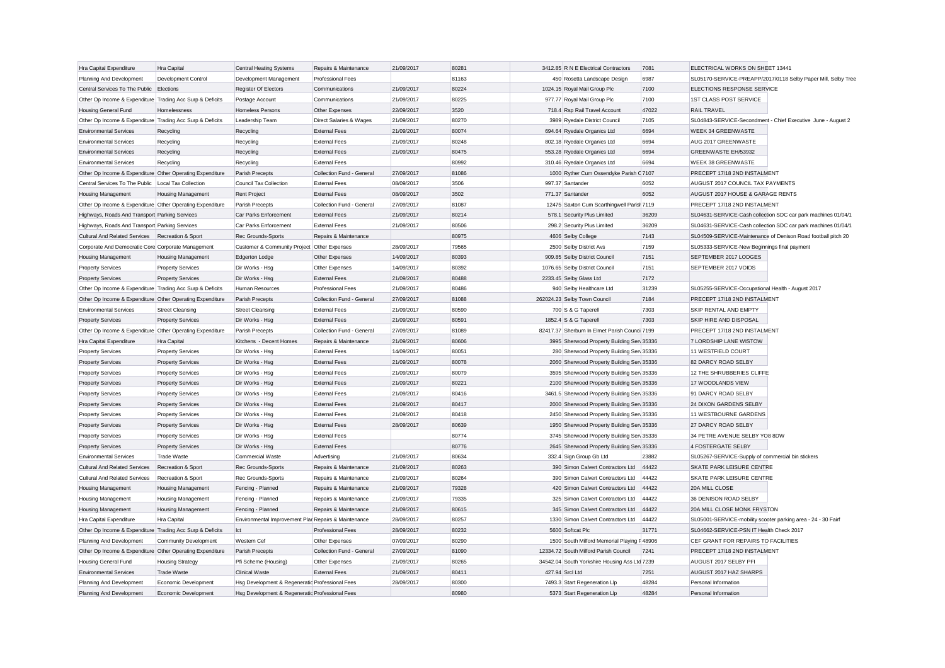| Hra Capital Expenditure                                   | Hra Capital               | <b>Central Heating Systems</b>                       | Repairs & Maintenance     | 21/09/2017 | 80281 | 3412.85 R N E Electrical Contractors          | 7081  | ELECTRICAL WORKS ON SHEET 13441                               |
|-----------------------------------------------------------|---------------------------|------------------------------------------------------|---------------------------|------------|-------|-----------------------------------------------|-------|---------------------------------------------------------------|
| Planning And Development                                  | Development Control       | Development Management                               | Professional Fees         |            | 81163 | 450 Rosetta Landscape Design                  | 6987  | SL05170-SERVICE-PREAPP/2017/0118 Selby Paper Mill, Selby Tree |
| Central Services To The Public                            | Elections                 | <b>Register Of Electors</b>                          | Communications            | 21/09/2017 | 80224 | 1024.15 Royal Mail Group Plc                  | 7100  | ELECTIONS RESPONSE SERVICE                                    |
| Other Op Income & Expenditure Trading Acc Surp & Deficits |                           | Postage Account                                      | Communications            | 21/09/2017 | 80225 | 977.77 Royal Mail Group Plc                   | 7100  | 1ST CLASS POST SERVICE                                        |
| Housing General Fund                                      | Homelessness              | Homeless Persons                                     | Other Expenses            | 22/09/2017 | 3520  | 718.4 Rsp Rail Travel Account                 | 47022 | <b>RAIL TRAVEL</b>                                            |
| Other Op Income & Expenditure Trading Acc Surp & Deficits |                           | Leadership Team                                      | Direct Salaries & Wages   | 21/09/2017 | 80270 | 3989 Ryedale District Council                 | 7105  | SL04843-SERVICE-Secondment - Chief Executive June - August 2  |
| <b>Environmental Services</b>                             | Recycling                 | Recycling                                            | <b>External Fees</b>      | 21/09/2017 | 80074 | 694.64 Ryedale Organics Ltd                   | 6694  | WEEK 34 GREENWASTE                                            |
| <b>Environmental Services</b>                             | Recycling                 | Recycling                                            | <b>External Fees</b>      | 21/09/2017 | 80248 | 802.18 Ryedale Organics Ltd                   | 6694  | AUG 2017 GREENWASTE                                           |
| <b>Environmental Services</b>                             | Recycling                 | Recycling                                            | <b>External Fees</b>      | 21/09/2017 | 80475 | 553.28 Ryedale Organics Ltd                   | 6694  | GREENWASTE EH/53932                                           |
| <b>Environmental Services</b>                             | Recycling                 | Recycling                                            | <b>External Fees</b>      |            | 80992 | 310.46 Ryedale Organics Ltd                   | 6694  | WEEK 38 GREENWASTE                                            |
| Other Op Income & Expenditure Other Operating Expenditure |                           | Parish Precepts                                      | Collection Fund - General | 27/09/2017 | 81086 | 1000 Ryther Cum Ossendyke Parish C 7107       |       | PRECEPT 17/18 2ND INSTALMENT                                  |
| Central Services To The Public   Local Tax Collection     |                           | Council Tax Collection                               | <b>External Fees</b>      | 08/09/2017 | 3506  | 997.37 Santander                              | 6052  | AUGUST 2017 COUNCIL TAX PAYMENTS                              |
| <b>Housing Management</b>                                 | <b>Housing Management</b> | <b>Rent Project</b>                                  | <b>External Fees</b>      | 08/09/2017 | 3502  | 771.37 Santander                              | 6052  | AUGUST 2017 HOUSE & GARAGE RENTS                              |
| Other Op Income & Expenditure Other Operating Expenditure |                           | Parish Precepts                                      | Collection Fund - General | 27/09/2017 | 81087 | 12475 Saxton Cum Scarthingwell Parist 7119    |       | PRECEPT 17/18 2ND INSTALMENT                                  |
| Highways, Roads And Transport Parking Services            |                           | Car Parks Enforcement                                | <b>External Fees</b>      | 21/09/2017 | 80214 | 578.1 Security Plus Limited                   | 36209 | SL04631-SERVICE-Cash collection SDC car park machines 01/04/1 |
| Highways, Roads And Transport Parking Services            |                           | Car Parks Enforcement                                | <b>External Fees</b>      | 21/09/2017 | 80506 | 298.2 Security Plus Limited                   | 36209 | SL04631-SERVICE-Cash collection SDC car park machines 01/04/1 |
| <b>Cultural And Related Services</b>                      | Recreation & Sport        | Rec Grounds-Sports                                   | Repairs & Maintenance     |            | 80975 | 4606 Selby College                            | 7143  | SL04509-SERVICE-Maintenance of Denison Road football pitch 20 |
| Corporate And Democratic Core Corporate Management        |                           | Customer & Community Project Other Expenses          |                           | 28/09/2017 | 79565 | 2500 Selby District Avs                       | 7159  | SL05333-SERVICE-New Beginnings final payment                  |
| <b>Housing Management</b>                                 | <b>Housing Management</b> | <b>Edgerton Lodge</b>                                | Other Expenses            | 14/09/2017 | 80393 | 909.85 Selby District Council                 | 7151  | SEPTEMBER 2017 LODGES                                         |
| <b>Property Services</b>                                  | <b>Property Services</b>  | Dir Works - Hsg                                      | Other Expenses            | 14/09/2017 | 80392 | 1076.65 Selby District Council                | 7151  | SEPTEMBER 2017 VOIDS                                          |
| <b>Property Services</b>                                  | <b>Property Services</b>  | Dir Works - Hsg                                      | <b>External Fees</b>      | 21/09/2017 | 80488 | 2233.45 Selby Glass Ltd                       | 7172  |                                                               |
| Other Op Income & Expenditure Trading Acc Surp & Deficits |                           | Human Resources                                      | <b>Professional Fees</b>  | 21/09/2017 | 80486 | 940 Selby Healthcare Ltd                      | 31239 | SL05255-SERVICE-Occupational Health - August 2017             |
| Other Op Income & Expenditure Other Operating Expenditure |                           | Parish Precepts                                      | Collection Fund - General | 27/09/2017 | 81088 | 262024.23 Selby Town Council                  | 7184  | PRECEPT 17/18 2ND INSTALMENT                                  |
| <b>Environmental Services</b>                             | <b>Street Cleansing</b>   | <b>Street Cleansing</b>                              | <b>External Fees</b>      | 21/09/2017 | 80590 | 700 S & G Taperell                            | 7303  | SKIP RENTAL AND EMPTY                                         |
| <b>Property Services</b>                                  | <b>Property Services</b>  | Dir Works - Hsg                                      | <b>External Fees</b>      | 21/09/2017 | 80591 | 1852.4 S & G Taperell                         | 7303  | SKIP HIRE AND DISPOSAL                                        |
| Other Op Income & Expenditure Other Operating Expenditure |                           | Parish Precepts                                      | Collection Fund - General | 27/09/2017 | 81089 | 82417.37 Sherburn In Elmet Parish Counci 7199 |       | PRECEPT 17/18 2ND INSTALMENT                                  |
| Hra Capital Expenditure                                   | Hra Capital               | Kitchens - Decent Homes                              | Repairs & Maintenance     | 21/09/2017 | 80606 | 3995 Sherwood Property Building Sen 35336     |       | 7 LORDSHIP LANE WISTOW                                        |
| <b>Property Services</b>                                  | <b>Property Services</b>  | Dir Works - Hsg                                      | <b>External Fees</b>      | 14/09/2017 | 80051 | 280 Sherwood Property Building Serv 35336     |       | 11 WESTFIELD COURT                                            |
| <b>Property Services</b>                                  | <b>Property Services</b>  | Dir Works - Hsg                                      | <b>External Fees</b>      | 21/09/2017 | 80078 | 2060 Sherwood Property Building Sen 35336     |       | 82 DARCY ROAD SELBY                                           |
| Property Services                                         | <b>Property Services</b>  | Dir Works - Hsg                                      | <b>External Fees</b>      | 21/09/2017 | 80079 | 3595 Sherwood Property Building Serv 35336    |       | 12 THE SHRUBBERIES CLIFFE                                     |
| <b>Property Services</b>                                  | <b>Property Services</b>  | Dir Works - Hsg                                      | <b>External Fees</b>      | 21/09/2017 | 80221 | 2100 Sherwood Property Building Serv 35336    |       | 17 WOODLANDS VIEW                                             |
| <b>Property Services</b>                                  | <b>Property Services</b>  | Dir Works - Hsg                                      | <b>External Fees</b>      | 21/09/2017 | 80416 | 3461.5 Sherwood Property Building Sen 35336   |       | 91 DARCY ROAD SELBY                                           |
| <b>Property Services</b>                                  | <b>Property Services</b>  | Dir Works - Hsg                                      | <b>External Fees</b>      | 21/09/2017 | 80417 | 2000 Sherwood Property Building Sen 35336     |       | 24 DIXON GARDENS SELBY                                        |
| <b>Property Services</b>                                  | <b>Property Services</b>  | Dir Works - Hsg                                      | <b>External Fees</b>      | 21/09/2017 | 80418 | 2450 Sherwood Property Building Serv 35336    |       | 11 WESTBOURNE GARDENS                                         |
| <b>Property Services</b>                                  | <b>Property Services</b>  | Dir Works - Hsg                                      | <b>External Fees</b>      | 28/09/2017 | 80639 | 1950 Sherwood Property Building Sen 35336     |       | 27 DARCY ROAD SELBY                                           |
| <b>Property Services</b>                                  | <b>Property Services</b>  | Dir Works - Hsg                                      | <b>External Fees</b>      |            | 80774 | 3745 Sherwood Property Building Serv 35336    |       | 34 PETRE AVENUE SELBY YO8 8DW                                 |
| <b>Property Services</b>                                  | <b>Property Services</b>  | Dir Works - Hsg                                      | <b>External Fees</b>      |            | 80776 | 2645 Sherwood Property Building Sen 35336     |       | 4 FOSTERGATE SELBY                                            |
| <b>Environmental Services</b>                             | Trade Waste               | Commercial Waste                                     | Advertising               | 21/09/2017 | 80634 | 332.4 Sign Group Gb Ltd                       | 23882 | SL05267-SERVICE-Supply of commercial bin stickers             |
| <b>Cultural And Related Services</b>                      | Recreation & Sport        | Rec Grounds-Sports                                   | Repairs & Maintenance     | 21/09/2017 | 80263 | 390 Simon Calvert Contractors Ltd             | 44422 | SKATE PARK LEISURE CENTRE                                     |
| <b>Cultural And Related Services</b>                      | Recreation & Sport        | Rec Grounds-Sports                                   | Repairs & Maintenance     | 21/09/2017 | 80264 | 390 Simon Calvert Contractors Ltd             | 44422 | <b>SKATE PARK LEISURE CENTRE</b>                              |
| <b>Housing Management</b>                                 | Housing Management        | Fencing - Planned                                    | Repairs & Maintenance     | 21/09/2017 | 79328 | 420 Simon Calvert Contractors Ltd             | 44422 | 20A MILL CLOSE                                                |
| Housing Management                                        | <b>Housing Management</b> | Fencing - Planned                                    | Repairs & Maintenance     | 21/09/2017 | 79335 | 325 Simon Calvert Contractors Ltd             | 44422 | 36 DENISON ROAD SELBY                                         |
| Housing Management                                        | Housing Management        | Fencing - Planned                                    | Repairs & Maintenance     | 21/09/2017 | 80615 | 345 Simon Calvert Contractors Ltd             | 44422 | 20A MILL CLOSE MONK FRYSTON                                   |
| Hra Capital Expenditure                                   | Hra Capital               | Environmental Improvement Plar Repairs & Maintenance |                           | 28/09/2017 | 80257 | 1330 Simon Calvert Contractors Ltd            | 44422 | SL05001-SERVICE-mobility scooter parking area - 24 - 30 Fairf |
| Other Op Income & Expenditure Trading Acc Surp & Deficits |                           | Ict                                                  | Professional Fees         | 28/09/2017 | 80232 | 5600 Softcat Plc                              | 31771 | SL04662-SERVICE-PSN IT Health Check 2017                      |
| Planning And Development                                  | Community Development     | Western Cef                                          | Other Expenses            | 07/09/2017 | 80290 | 1500 South Milford Memorial Playing F 48906   |       | CEF GRANT FOR REPAIRS TO FACILITIES                           |
| Other Op Income & Expenditure Other Operating Expenditure |                           | Parish Precepts                                      | Collection Fund - General | 27/09/2017 | 81090 | 12334.72 South Milford Parish Council         | 7241  | PRECEPT 17/18 2ND INSTALMENT                                  |
| Housing General Fund                                      | <b>Housing Strategy</b>   | Pfi Scheme (Housing)                                 | Other Expenses            | 21/09/2017 | 80265 | 34542.04 South Yorkshire Housing Ass Ltd 7239 |       | AUGUST 2017 SELBY PFI                                         |
| <b>Environmental Services</b>                             | <b>Trade Waste</b>        | <b>Clinical Waste</b>                                | <b>External Fees</b>      | 21/09/2017 | 80411 | 427.94 Srcl Ltd                               | 7251  | AUGUST 2017 HAZ SHARPS                                        |
| Planning And Development                                  | Economic Development      | Hsg Development & Regeneratic Professional Fees      |                           | 28/09/2017 | 80300 | 7493.3 Start Regeneration Llp                 | 48284 | Personal Information                                          |
| Planning And Development                                  | Economic Development      | Hsg Development & Regeneratic Professional Fees      |                           |            | 80980 | 5373 Start Regeneration Llp                   | 48284 | Personal Information                                          |
|                                                           |                           |                                                      |                           |            |       |                                               |       |                                                               |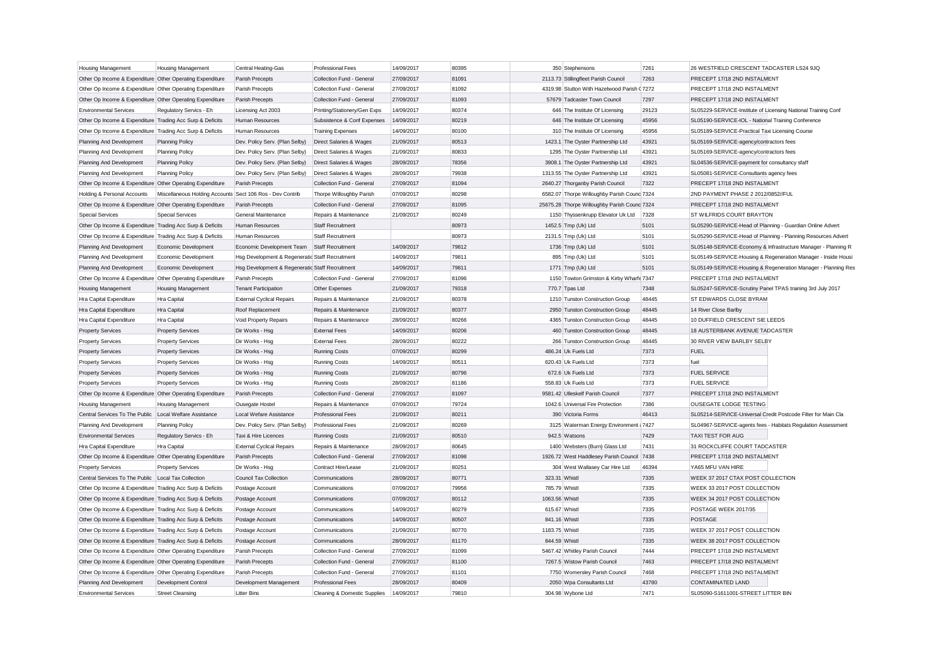| <b>Housing Management</b>                                 | Housing Management                                        | Central Heating-Gas                             | <b>Professional Fees</b>                      | 14/09/2017 | 80395 |                | 350 Stephensons                                                         | 7261  | 26 WESTFIELD CRESCENT TADCASTER LS24 9JQ                      |                                                               |
|-----------------------------------------------------------|-----------------------------------------------------------|-------------------------------------------------|-----------------------------------------------|------------|-------|----------------|-------------------------------------------------------------------------|-------|---------------------------------------------------------------|---------------------------------------------------------------|
| Other Op Income & Expenditure Other Operating Expenditure |                                                           | Parish Precepts                                 | Collection Fund - General                     | 27/09/2017 | 81091 |                | 2113.73 Stillingfleet Parish Council                                    | 7263  | PRECEPT 17/18 2ND INSTALMENT                                  |                                                               |
| Other Op Income & Expenditure Other Operating Expenditure |                                                           | Parish Precepts                                 | Collection Fund - General                     | 27/09/2017 | 81092 |                | 4319.98 Stutton With Hazelwood Parish (7272                             |       | PRECEPT 17/18 2ND INSTALMENT                                  |                                                               |
| Other Op Income & Expenditure Other Operating Expenditure |                                                           | Parish Precepts                                 | Collection Fund - General                     | 27/09/2017 | 81093 |                | 57679 Tadcaster Town Council                                            | 7297  | PRECEPT 17/18 2ND INSTALMENT                                  |                                                               |
| <b>Environmental Services</b>                             | Regulatory Servics - Eh                                   | Licensing Act 2003                              | Printing/Stationery/Gen Exps                  | 14/09/2017 | 80374 |                | 646 The Institute Of Licensing                                          | 29123 | SL05229-SERVICE-Institute of Licensing National Training Conf |                                                               |
| Other Op Income & Expenditure Trading Acc Surp & Deficits |                                                           | Human Resources                                 | Subsistence & Conf Expenses                   | 14/09/2017 | 80219 |                | 646 The Institute Of Licensing                                          | 45956 | SL05190-SERVICE-IOL - National Training Conference            |                                                               |
| Other Op Income & Expenditure Trading Acc Surp & Deficits |                                                           | Human Resources                                 | <b>Training Expenses</b>                      | 14/09/2017 | 80100 |                | 310 The Institute Of Licensing                                          | 45956 | SL05189-SERVICE-Practical Taxi Licensing Course               |                                                               |
| Planning And Development                                  | <b>Planning Policy</b>                                    | Dev. Policy Serv. (Plan Selby)                  | Direct Salaries & Wages                       | 21/09/2017 | 80513 |                | 1423.1 The Oyster Partnership Ltd                                       | 43921 | SL05169-SERVICE-agency/contractors fees                       |                                                               |
| Planning And Development                                  | <b>Planning Policy</b>                                    | Dev. Policy Serv. (Plan Selby)                  | Direct Salaries & Wages                       | 21/09/2017 | 80833 |                | 1295 The Oyster Partnership Ltd                                         | 43921 | SL05169-SERVICE-agency/contractors fees                       |                                                               |
| Planning And Development                                  | <b>Planning Policy</b>                                    | Dev. Policy Serv. (Plan Selby)                  | Direct Salaries & Wages                       | 28/09/2017 | 78356 |                | 3908.1 The Oyster Partnership Ltd                                       | 43921 | SL04536-SERVICE-payment for consultancy sfaff                 |                                                               |
| Planning And Development                                  | <b>Planning Policy</b>                                    | Dev. Policy Serv. (Plan Selby)                  | Direct Salaries & Wages                       | 28/09/2017 | 79938 |                | 1313.55 The Oyster Partnership Ltd                                      | 43921 | SL05081-SERVICE-Consultants agency fees                       |                                                               |
| Other Op Income & Expenditure Other Operating Expenditure |                                                           | Parish Precepts                                 | Collection Fund - General                     | 27/09/2017 | 81094 |                | 2640.27 Thorganby Parish Council                                        | 7322  | PRECEPT 17/18 2ND INSTALMENT                                  |                                                               |
| Holding & Personal Accounts                               | Miscellaneous Holding Accounts Sect 106 Ros - Dev Contrib |                                                 | Thorpe Willoughby Parish                      | 07/09/2017 | 80298 |                | 6582.07 Thorpe Willoughby Parish Counc 7324                             |       | 2ND PAYMENT PHASE 2 2012/0852//FUL                            |                                                               |
| Other Op Income & Expenditure Other Operating Expenditure |                                                           | Parish Precepts                                 | Collection Fund - General                     | 27/09/2017 | 81095 |                | 25675.28 Thorpe Willoughby Parish Counc 7324                            |       | PRECEPT 17/18 2ND INSTALMENT                                  |                                                               |
| <b>Special Services</b>                                   | <b>Special Services</b>                                   | General Maintenance                             | Repairs & Maintenance                         | 21/09/2017 | 80249 |                | 1150 Thyssenkrupp Elevator Uk Ltd 7328                                  |       | ST WILFRIDS COURT BRAYTON                                     |                                                               |
| Other Op Income & Expenditure Trading Acc Surp & Deficits |                                                           | Human Resources                                 | <b>Staff Recruitment</b>                      |            | 80973 |                | 1452.5 Tmp (Uk) Ltd                                                     | 5101  | SL05290-SERVICE-Head of Planning - Guardian Online Advert     |                                                               |
| Other Op Income & Expenditure Trading Acc Surp & Deficits |                                                           | Human Resources                                 | <b>Staff Recruitment</b>                      |            | 80973 |                | 2131.5 Tmp (Uk) Ltd                                                     | 5101  |                                                               | SL05290-SERVICE-Head of Planning - Planning Resources Advert  |
| Planning And Development                                  | Economic Development                                      | Economic Development Team                       | Staff Recruitment                             | 14/09/2017 | 79812 |                | 1736 Tmp (Uk) Ltd                                                       | 5101  |                                                               | SL05148-SERVICE-Economy & Infrastructure Manager - Planning R |
| Planning And Development                                  | Economic Development                                      | Hsg Development & Regeneratic Staff Recruitment |                                               | 14/09/2017 | 79811 |                | 895 Tmp (Uk) Ltd                                                        | 5101  |                                                               | SL05149-SERVICE-Housing & Regeneration Manager - Inside Housi |
| Planning And Development                                  | Economic Development                                      | Hsg Development & Regeneratic Staff Recruitment |                                               | 14/09/2017 | 79811 |                | 1771 Tmp (Uk) Ltd                                                       | 5101  |                                                               | SL05149-SERVICE-Housing & Regeneration Manager - Planning Res |
| Other Op Income & Expenditure Other Operating Expenditure |                                                           | Parish Precepts                                 | Collection Fund - General                     | 27/09/2017 | 81096 |                | 1150 Towton Grimston & Kirby Wharfe 7347                                |       | PRECEPT 17/18 2ND INSTALMENT                                  |                                                               |
| Housing Management                                        | <b>Housing Management</b>                                 | <b>Tenant Participation</b>                     | Other Expenses                                | 21/09/2017 | 79318 |                | 770.7 Tpas Ltd                                                          | 7348  | SL05247-SERVICE-Scrutiny Panel TPAS training 3rd July 2017    |                                                               |
| Hra Capital Expenditure                                   | Hra Capital                                               | <b>External Cyclical Repairs</b>                | Repairs & Maintenance                         | 21/09/2017 | 80378 |                | 1210 Tunston Construction Group                                         | 48445 | <b>ST EDWARDS CLOSE BYRAM</b>                                 |                                                               |
| Hra Capital Expenditure                                   | Hra Capital                                               | Roof Replacement                                | Repairs & Maintenance                         | 21/09/2017 | 80377 |                | 2950 Tunston Construction Group                                         | 48445 | 14 River Close Barlby                                         |                                                               |
| Hra Capital Expenditure                                   | Hra Capital                                               | Void Property Repairs                           | Repairs & Maintenance                         | 28/09/2017 | 80266 |                | 4365 Tunston Construction Group                                         | 48445 | 10 DUFFIELD CRESCENT SIE LEEDS                                |                                                               |
| <b>Property Services</b>                                  | <b>Property Services</b>                                  | Dir Works - Hsg                                 | <b>External Fees</b>                          | 14/09/2017 | 80206 |                | 460 Tunston Construction Group                                          | 48445 | 18 AUSTERBANK AVENUE TADCASTER                                |                                                               |
| <b>Property Services</b>                                  | <b>Property Services</b>                                  | Dir Works - Hsg                                 | <b>External Fees</b>                          | 28/09/2017 | 80222 |                | 266 Tunston Construction Group                                          | 48445 | 30 RIVER VIEW BARLBY SELBY                                    |                                                               |
| <b>Property Services</b>                                  | <b>Property Services</b>                                  | Dir Works - Hsg                                 | <b>Running Costs</b>                          | 07/09/2017 | 80299 |                | 486.24 Uk Fuels Ltd                                                     | 7373  | <b>FUEL</b>                                                   |                                                               |
| <b>Property Services</b>                                  | <b>Property Services</b>                                  | Dir Works - Hsg                                 | <b>Running Costs</b>                          | 14/09/2017 | 80511 |                | 620.43 Uk Fuels Ltd                                                     | 7373  | fuel                                                          |                                                               |
| <b>Property Services</b>                                  | <b>Property Services</b>                                  | Dir Works - Hsg                                 | <b>Running Costs</b>                          | 21/09/2017 | 80796 |                | 672.6 Uk Fuels Ltd                                                      | 7373  | <b>FUEL SERVICE</b>                                           |                                                               |
| <b>Property Services</b>                                  | <b>Property Services</b>                                  | Dir Works - Hsg                                 | <b>Running Costs</b>                          | 28/09/2017 | 81186 |                | 558.83 Uk Fuels Ltd                                                     | 7373  | <b>FUEL SERVICE</b>                                           |                                                               |
| Other Op Income & Expenditure Other Operating Expenditure |                                                           | Parish Precepts                                 | Collection Fund - General                     | 27/09/2017 | 81097 |                | 9581.42 Ulleskelf Parish Council                                        | 7377  | PRECEPT 17/18 2ND INSTALMENT                                  |                                                               |
| <b>Housing Management</b>                                 | <b>Housing Management</b>                                 | <b>Ousegate Hostel</b>                          | Repairs & Maintenance                         | 07/09/2017 | 79724 |                | 1042.6 Universal Fire Protection                                        | 7386  | OUSEGATE LODGE TESTING                                        |                                                               |
| Central Services To The Public                            | Local Welfare Assistance                                  | Local Wefare Assistance                         | Professional Fees                             | 21/09/2017 | 80211 |                | 390 Victoria Forms                                                      | 46413 | SL05214-SERVICE-Universal Credit Postcode Filter for Main Cla |                                                               |
| Planning And Development                                  | <b>Planning Policy</b>                                    | Dev. Policy Serv. (Plan Selby)                  | Professional Fees                             | 21/09/2017 | 80269 |                | 3125 Waterman Energy Environment (7427                                  |       | SL04967-SERVICE-agents fees - Habitats Regulation Assessment  |                                                               |
| <b>Environmental Services</b>                             | Regulatory Servics - Eh                                   |                                                 |                                               | 21/09/2017 | 80510 |                | 942.5 Watsons                                                           | 7429  | <b>TAXI TEST FOR AUG</b>                                      |                                                               |
|                                                           | Hra Capital                                               | Taxi & Hire Licences                            | <b>Running Costs</b><br>Repairs & Maintenance | 28/09/2017 | 80645 |                | 1400 Websters (Burn) Glass Ltd                                          | 7431  | 31 ROCKCLIFFE COURT TADCASTER                                 |                                                               |
| Hra Capital Expenditure                                   |                                                           | <b>External Cyclical Repairs</b>                | Collection Fund - General                     | 27/09/2017 | 81098 |                |                                                                         | 7438  | PRECEPT 17/18 2ND INSTALMENT                                  |                                                               |
| Other Op Income & Expenditure Other Operating Expenditure |                                                           | Parish Precepts                                 | Contract Hire/Lease                           | 21/09/2017 | 80251 |                | 1926.72 West Haddlesey Parish Council<br>304 West Wallasey Car Hire Ltd | 46394 | YA65 MFU VAN HIRE                                             |                                                               |
| <b>Property Services</b>                                  | <b>Property Services</b>                                  | Dir Works - Hsg                                 |                                               |            |       |                |                                                                         |       |                                                               |                                                               |
| Central Services To The Public Local Tax Collection       |                                                           | Council Tax Collection                          | Communications                                | 28/09/2017 | 80771 | 323.31 Whistl  |                                                                         | 7335  | WEEK 37 2017 CTAX POST COLLECTION                             |                                                               |
| Other Op Income & Expenditure Trading Acc Surp & Deficits |                                                           | Postage Account                                 | Communications                                | 07/09/2017 | 79956 | 785.79 Whistl  |                                                                         | 7335  | WEEK 33 2017 POST COLLECTION                                  |                                                               |
| Other Op Income & Expenditure Trading Acc Surp & Deficits |                                                           | Postage Account                                 | Communications                                | 07/09/2017 | 80112 | 1063.56 Whistl |                                                                         | 7335  | WEEK 34 2017 POST COLLECTION                                  |                                                               |
| Other Op Income & Expenditure Trading Acc Surp & Deficits |                                                           | Postage Account                                 | Communications                                | 14/09/2017 | 80279 | 615.67 Whistl  |                                                                         | 7335  | POSTAGE WEEK 2017/35                                          |                                                               |
| Other Op Income & Expenditure Trading Acc Surp & Deficits |                                                           | Postage Account                                 | Communications                                | 14/09/2017 | 80507 | 841.16 Whistl  |                                                                         | 7335  | <b>POSTAGE</b>                                                |                                                               |
| Other Op Income & Expenditure Trading Acc Surp & Deficits |                                                           | Postage Account                                 | Communications                                | 21/09/2017 | 80770 | 1183.75 Whistl |                                                                         | 7335  | WEEK 37 2017 POST COLLECTION                                  |                                                               |
| Other Op Income & Expenditure Trading Acc Surp & Deficits |                                                           | Postage Account                                 | Communications                                | 28/09/2017 | 81170 | 844.59 Whistl  |                                                                         | 7335  | WEEK 38 2017 POST COLLECTION                                  |                                                               |
| Other Op Income & Expenditure Other Operating Expenditure |                                                           | Parish Precepts                                 | Collection Fund - General                     | 27/09/2017 | 81099 |                | 5467.42 Whitley Parish Council                                          | 7444  | PRECEPT 17/18 2ND INSTALMENT                                  |                                                               |
| Other Op Income & Expenditure Other Operating Expenditure |                                                           | Parish Precepts                                 | Collection Fund - General                     | 27/09/2017 | 81100 |                | 7267.5 Wistow Parish Council                                            | 7463  | PRECEPT 17/18 2ND INSTALMENT                                  |                                                               |
| Other Op Income & Expenditure Other Operating Expenditure |                                                           | Parish Precepts                                 | Collection Fund - General                     | 27/09/2017 | 81101 |                | 7750 Womersley Parish Council                                           | 7468  | PRECEPT 17/18 2ND INSTALMENT                                  |                                                               |
| Planning And Development                                  | Development Control                                       | Development Management                          | Professional Fees                             | 28/09/2017 | 80409 |                | 2050 Wpa Consultants Ltd                                                | 43780 | CONTAMINATED LAND                                             |                                                               |
| <b>Environmental Services</b>                             | <b>Street Cleansing</b>                                   | <b>Litter Bins</b>                              | Cleaning & Domestic Supplies                  | 14/09/2017 | 79810 |                | 304.98 Wybone Ltd                                                       | 7471  | SL05090-S1611001-STREET LITTER BIN                            |                                                               |